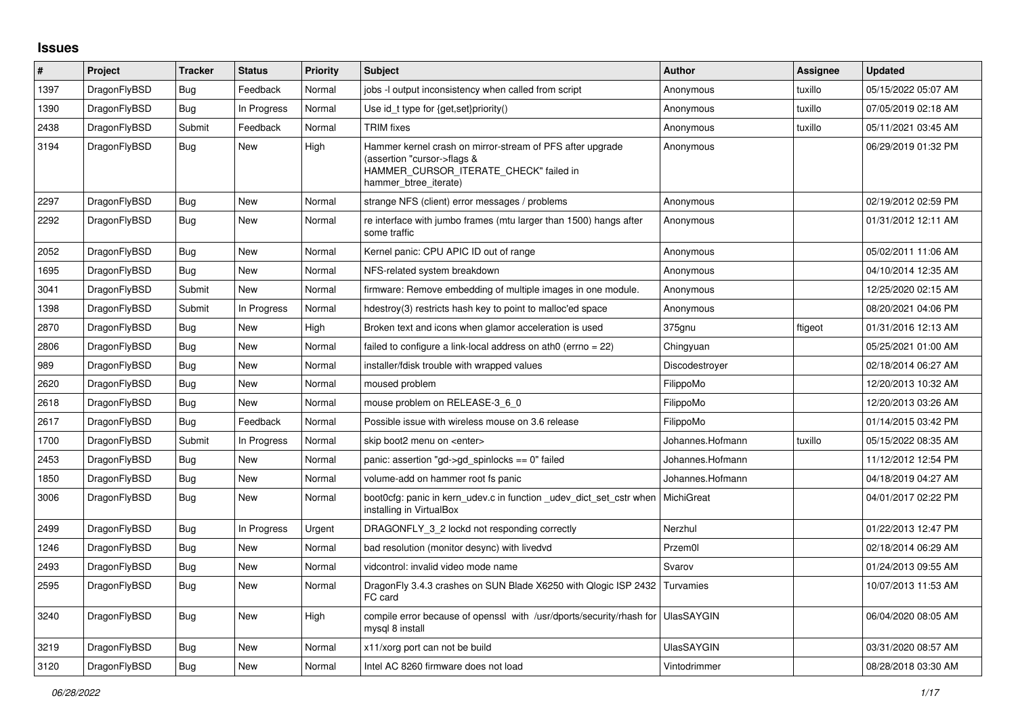## **Issues**

| #    | Project      | <b>Tracker</b> | <b>Status</b> | Priority | <b>Subject</b>                                                                                                                                              | <b>Author</b>     | Assignee | <b>Updated</b>      |
|------|--------------|----------------|---------------|----------|-------------------------------------------------------------------------------------------------------------------------------------------------------------|-------------------|----------|---------------------|
| 1397 | DragonFlyBSD | Bug            | Feedback      | Normal   | jobs -I output inconsistency when called from script                                                                                                        | Anonymous         | tuxillo  | 05/15/2022 05:07 AM |
| 1390 | DragonFlyBSD | <b>Bug</b>     | In Progress   | Normal   | Use id t type for $\{get, set\}$ priority $()$                                                                                                              | Anonymous         | tuxillo  | 07/05/2019 02:18 AM |
| 2438 | DragonFlyBSD | Submit         | Feedback      | Normal   | <b>TRIM</b> fixes                                                                                                                                           | Anonymous         | tuxillo  | 05/11/2021 03:45 AM |
| 3194 | DragonFlyBSD | <b>Bug</b>     | New           | High     | Hammer kernel crash on mirror-stream of PFS after upgrade<br>(assertion "cursor->flags &<br>HAMMER_CURSOR_ITERATE_CHECK" failed in<br>hammer_btree_iterate) | Anonymous         |          | 06/29/2019 01:32 PM |
| 2297 | DragonFlyBSD | Bug            | New           | Normal   | strange NFS (client) error messages / problems                                                                                                              | Anonymous         |          | 02/19/2012 02:59 PM |
| 2292 | DragonFlyBSD | Bug            | New           | Normal   | re interface with jumbo frames (mtu larger than 1500) hangs after<br>some traffic                                                                           | Anonymous         |          | 01/31/2012 12:11 AM |
| 2052 | DragonFlyBSD | Bug            | New           | Normal   | Kernel panic: CPU APIC ID out of range                                                                                                                      | Anonymous         |          | 05/02/2011 11:06 AM |
| 1695 | DragonFlyBSD | <b>Bug</b>     | New           | Normal   | NFS-related system breakdown                                                                                                                                | Anonymous         |          | 04/10/2014 12:35 AM |
| 3041 | DragonFlyBSD | Submit         | New           | Normal   | firmware: Remove embedding of multiple images in one module.                                                                                                | Anonymous         |          | 12/25/2020 02:15 AM |
| 1398 | DragonFlyBSD | Submit         | In Progress   | Normal   | hdestroy(3) restricts hash key to point to malloc'ed space                                                                                                  | Anonymous         |          | 08/20/2021 04:06 PM |
| 2870 | DragonFlyBSD | <b>Bug</b>     | New           | High     | Broken text and icons when glamor acceleration is used                                                                                                      | 375gnu            | ftigeot  | 01/31/2016 12:13 AM |
| 2806 | DragonFlyBSD | <b>Bug</b>     | New           | Normal   | failed to configure a link-local address on ath0 (errno $= 22$ )                                                                                            | Chingyuan         |          | 05/25/2021 01:00 AM |
| 989  | DragonFlyBSD | Bug            | New           | Normal   | installer/fdisk trouble with wrapped values                                                                                                                 | Discodestrover    |          | 02/18/2014 06:27 AM |
| 2620 | DragonFlyBSD | <b>Bug</b>     | New           | Normal   | moused problem                                                                                                                                              | FilippoMo         |          | 12/20/2013 10:32 AM |
| 2618 | DragonFlyBSD | Bug            | New           | Normal   | mouse problem on RELEASE-3 6 0                                                                                                                              | FilippoMo         |          | 12/20/2013 03:26 AM |
| 2617 | DragonFlyBSD | Bug            | Feedback      | Normal   | Possible issue with wireless mouse on 3.6 release                                                                                                           | FilippoMo         |          | 01/14/2015 03:42 PM |
| 1700 | DragonFlyBSD | Submit         | In Progress   | Normal   | skip boot2 menu on <enter></enter>                                                                                                                          | Johannes.Hofmann  | tuxillo  | 05/15/2022 08:35 AM |
| 2453 | DragonFlyBSD | Bug            | <b>New</b>    | Normal   | panic: assertion "gd->gd spinlocks == $0$ " failed                                                                                                          | Johannes.Hofmann  |          | 11/12/2012 12:54 PM |
| 1850 | DragonFlyBSD | <b>Bug</b>     | New           | Normal   | volume-add on hammer root fs panic                                                                                                                          | Johannes.Hofmann  |          | 04/18/2019 04:27 AM |
| 3006 | DragonFlyBSD | <b>Bug</b>     | New           | Normal   | boot0cfg: panic in kern_udev.c in function _udev_dict_set_cstr when<br>installing in VirtualBox                                                             | MichiGreat        |          | 04/01/2017 02:22 PM |
| 2499 | DragonFlyBSD | Bug            | In Progress   | Urgent   | DRAGONFLY 3 2 lockd not responding correctly                                                                                                                | Nerzhul           |          | 01/22/2013 12:47 PM |
| 1246 | DragonFlyBSD | Bug            | <b>New</b>    | Normal   | bad resolution (monitor desync) with livedvd                                                                                                                | Przem0l           |          | 02/18/2014 06:29 AM |
| 2493 | DragonFlyBSD | <b>Bug</b>     | New           | Normal   | vidcontrol: invalid video mode name                                                                                                                         | Svarov            |          | 01/24/2013 09:55 AM |
| 2595 | DragonFlyBSD | Bug            | New           | Normal   | DragonFly 3.4.3 crashes on SUN Blade X6250 with Qlogic ISP 2432<br>FC card                                                                                  | Turvamies         |          | 10/07/2013 11:53 AM |
| 3240 | DragonFlyBSD | <b>Bug</b>     | New           | High     | compile error because of openssl with /usr/dports/security/rhash for UlasSAYGIN<br>mysql 8 install                                                          |                   |          | 06/04/2020 08:05 AM |
| 3219 | DragonFlyBSD | Bug            | New           | Normal   | x11/xorg port can not be build                                                                                                                              | <b>UlasSAYGIN</b> |          | 03/31/2020 08:57 AM |
| 3120 | DragonFlyBSD | Bug            | New           | Normal   | Intel AC 8260 firmware does not load                                                                                                                        | Vintodrimmer      |          | 08/28/2018 03:30 AM |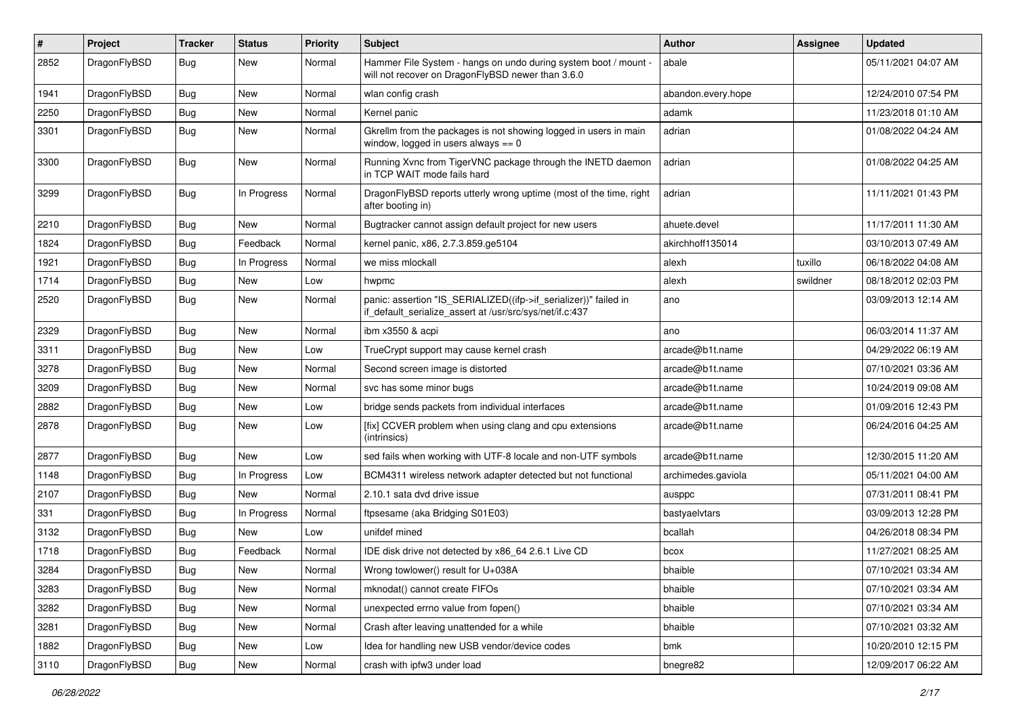| $\pmb{\#}$ | Project      | <b>Tracker</b> | <b>Status</b> | <b>Priority</b> | Subject                                                                                                                      | Author             | <b>Assignee</b> | <b>Updated</b>      |
|------------|--------------|----------------|---------------|-----------------|------------------------------------------------------------------------------------------------------------------------------|--------------------|-----------------|---------------------|
| 2852       | DragonFlyBSD | Bug            | New           | Normal          | Hammer File System - hangs on undo during system boot / mount -<br>will not recover on DragonFlyBSD newer than 3.6.0         | abale              |                 | 05/11/2021 04:07 AM |
| 1941       | DragonFlyBSD | <b>Bug</b>     | <b>New</b>    | Normal          | wlan config crash                                                                                                            | abandon.every.hope |                 | 12/24/2010 07:54 PM |
| 2250       | DragonFlyBSD | Bug            | New           | Normal          | Kernel panic                                                                                                                 | adamk              |                 | 11/23/2018 01:10 AM |
| 3301       | DragonFlyBSD | Bug            | New           | Normal          | Gkrellm from the packages is not showing logged in users in main<br>window, logged in users always $== 0$                    | adrian             |                 | 01/08/2022 04:24 AM |
| 3300       | DragonFlyBSD | Bug            | New           | Normal          | Running Xvnc from TigerVNC package through the INETD daemon<br>in TCP WAIT mode fails hard                                   | adrian             |                 | 01/08/2022 04:25 AM |
| 3299       | DragonFlyBSD | Bug            | In Progress   | Normal          | DragonFlyBSD reports utterly wrong uptime (most of the time, right<br>after booting in)                                      | adrian             |                 | 11/11/2021 01:43 PM |
| 2210       | DragonFlyBSD | <b>Bug</b>     | New           | Normal          | Bugtracker cannot assign default project for new users                                                                       | ahuete.devel       |                 | 11/17/2011 11:30 AM |
| 1824       | DragonFlyBSD | Bug            | Feedback      | Normal          | kernel panic, x86, 2.7.3.859.ge5104                                                                                          | akirchhoff135014   |                 | 03/10/2013 07:49 AM |
| 1921       | DragonFlyBSD | Bug            | In Progress   | Normal          | we miss mlockall                                                                                                             | alexh              | tuxillo         | 06/18/2022 04:08 AM |
| 1714       | DragonFlyBSD | <b>Bug</b>     | New           | Low             | hwpmc                                                                                                                        | alexh              | swildner        | 08/18/2012 02:03 PM |
| 2520       | DragonFlyBSD | Bug            | New           | Normal          | panic: assertion "IS_SERIALIZED((ifp->if_serializer))" failed in<br>if_default_serialize_assert at /usr/src/sys/net/if.c:437 | ano                |                 | 03/09/2013 12:14 AM |
| 2329       | DragonFlyBSD | Bug            | <b>New</b>    | Normal          | ibm x3550 & acpi                                                                                                             | ano                |                 | 06/03/2014 11:37 AM |
| 3311       | DragonFlyBSD | Bug            | New           | Low             | TrueCrypt support may cause kernel crash                                                                                     | arcade@b1t.name    |                 | 04/29/2022 06:19 AM |
| 3278       | DragonFlyBSD | Bug            | New           | Normal          | Second screen image is distorted                                                                                             | arcade@b1t.name    |                 | 07/10/2021 03:36 AM |
| 3209       | DragonFlyBSD | Bug            | <b>New</b>    | Normal          | svc has some minor bugs                                                                                                      | arcade@b1t.name    |                 | 10/24/2019 09:08 AM |
| 2882       | DragonFlyBSD | <b>Bug</b>     | <b>New</b>    | Low             | bridge sends packets from individual interfaces                                                                              | arcade@b1t.name    |                 | 01/09/2016 12:43 PM |
| 2878       | DragonFlyBSD | Bug            | New           | Low             | [fix] CCVER problem when using clang and cpu extensions<br>(intrinsics)                                                      | arcade@b1t.name    |                 | 06/24/2016 04:25 AM |
| 2877       | DragonFlyBSD | Bug            | New           | Low             | sed fails when working with UTF-8 locale and non-UTF symbols                                                                 | arcade@b1t.name    |                 | 12/30/2015 11:20 AM |
| 1148       | DragonFlyBSD | Bug            | In Progress   | Low             | BCM4311 wireless network adapter detected but not functional                                                                 | archimedes.gaviola |                 | 05/11/2021 04:00 AM |
| 2107       | DragonFlyBSD | Bug            | New           | Normal          | 2.10.1 sata dvd drive issue                                                                                                  | ausppc             |                 | 07/31/2011 08:41 PM |
| 331        | DragonFlyBSD | <b>Bug</b>     | In Progress   | Normal          | ftpsesame (aka Bridging S01E03)                                                                                              | bastyaelvtars      |                 | 03/09/2013 12:28 PM |
| 3132       | DragonFlyBSD | Bug            | New           | Low             | unifdef mined                                                                                                                | bcallah            |                 | 04/26/2018 08:34 PM |
| 1718       | DragonFlyBSD | <b>Bug</b>     | Feedback      | Normal          | IDE disk drive not detected by x86 64 2.6.1 Live CD                                                                          | bcox               |                 | 11/27/2021 08:25 AM |
| 3284       | DragonFlyBSD | Bug            | New           | Normal          | Wrong towlower() result for U+038A                                                                                           | bhaible            |                 | 07/10/2021 03:34 AM |
| 3283       | DragonFlyBSD | <b>Bug</b>     | New           | Normal          | mknodat() cannot create FIFOs                                                                                                | bhaible            |                 | 07/10/2021 03:34 AM |
| 3282       | DragonFlyBSD | <b>Bug</b>     | New           | Normal          | unexpected errno value from fopen()                                                                                          | bhaible            |                 | 07/10/2021 03:34 AM |
| 3281       | DragonFlyBSD | <b>Bug</b>     | New           | Normal          | Crash after leaving unattended for a while                                                                                   | bhaible            |                 | 07/10/2021 03:32 AM |
| 1882       | DragonFlyBSD | Bug            | New           | Low             | Idea for handling new USB vendor/device codes                                                                                | bmk                |                 | 10/20/2010 12:15 PM |
| 3110       | DragonFlyBSD | Bug            | New           | Normal          | crash with ipfw3 under load                                                                                                  | bnegre82           |                 | 12/09/2017 06:22 AM |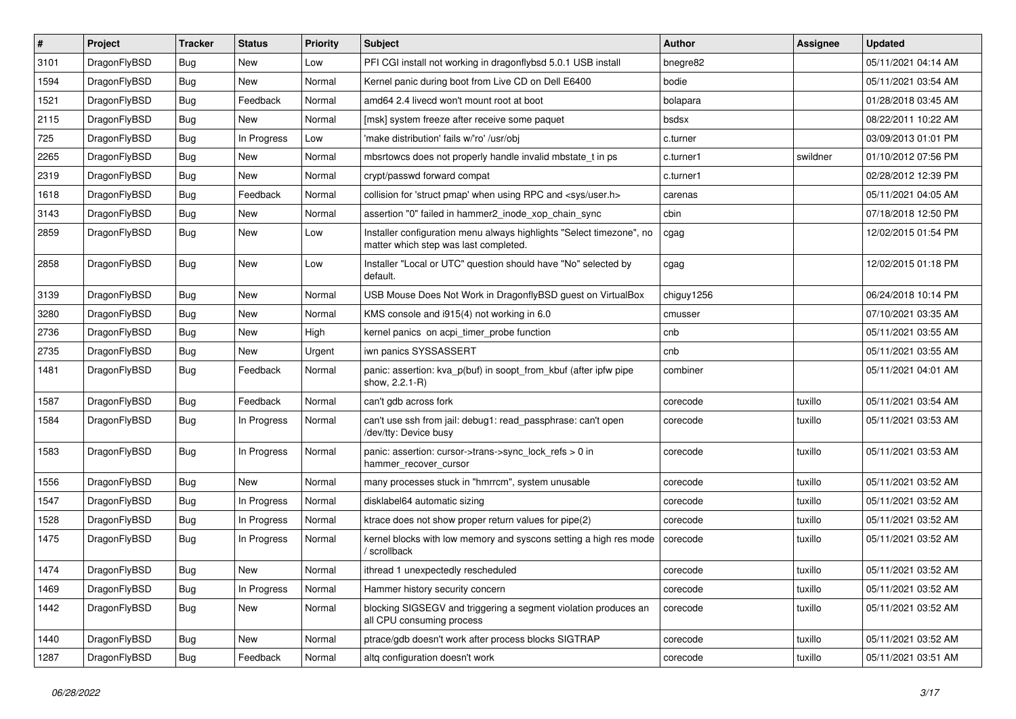| #    | Project      | <b>Tracker</b> | <b>Status</b> | <b>Priority</b> | Subject                                                                                                       | Author     | Assignee | <b>Updated</b>      |
|------|--------------|----------------|---------------|-----------------|---------------------------------------------------------------------------------------------------------------|------------|----------|---------------------|
| 3101 | DragonFlyBSD | Bug            | New           | Low             | PFI CGI install not working in dragonflybsd 5.0.1 USB install                                                 | bnegre82   |          | 05/11/2021 04:14 AM |
| 1594 | DragonFlyBSD | Bug            | New           | Normal          | Kernel panic during boot from Live CD on Dell E6400                                                           | bodie      |          | 05/11/2021 03:54 AM |
| 1521 | DragonFlyBSD | <b>Bug</b>     | Feedback      | Normal          | amd64 2.4 livecd won't mount root at boot                                                                     | bolapara   |          | 01/28/2018 03:45 AM |
| 2115 | DragonFlyBSD | <b>Bug</b>     | New           | Normal          | [msk] system freeze after receive some paquet                                                                 | bsdsx      |          | 08/22/2011 10:22 AM |
| 725  | DragonFlyBSD | <b>Bug</b>     | In Progress   | Low             | 'make distribution' fails w/'ro' /usr/obj                                                                     | c.turner   |          | 03/09/2013 01:01 PM |
| 2265 | DragonFlyBSD | <b>Bug</b>     | New           | Normal          | mbsrtowcs does not properly handle invalid mbstate t in ps                                                    | c.turner1  | swildner | 01/10/2012 07:56 PM |
| 2319 | DragonFlyBSD | <b>Bug</b>     | New           | Normal          | crypt/passwd forward compat                                                                                   | c.turner1  |          | 02/28/2012 12:39 PM |
| 1618 | DragonFlyBSD | <b>Bug</b>     | Feedback      | Normal          | collision for 'struct pmap' when using RPC and <sys user.h=""></sys>                                          | carenas    |          | 05/11/2021 04:05 AM |
| 3143 | DragonFlyBSD | <b>Bug</b>     | <b>New</b>    | Normal          | assertion "0" failed in hammer2 inode xop chain sync                                                          | cbin       |          | 07/18/2018 12:50 PM |
| 2859 | DragonFlyBSD | Bug            | New           | Low             | Installer configuration menu always highlights "Select timezone", no<br>matter which step was last completed. | cgag       |          | 12/02/2015 01:54 PM |
| 2858 | DragonFlyBSD | Bug            | New           | Low             | Installer "Local or UTC" question should have "No" selected by<br>default.                                    | cgag       |          | 12/02/2015 01:18 PM |
| 3139 | DragonFlyBSD | Bug            | New           | Normal          | USB Mouse Does Not Work in DragonflyBSD guest on VirtualBox                                                   | chiguy1256 |          | 06/24/2018 10:14 PM |
| 3280 | DragonFlyBSD | <b>Bug</b>     | New           | Normal          | KMS console and i915(4) not working in 6.0                                                                    | cmusser    |          | 07/10/2021 03:35 AM |
| 2736 | DragonFlyBSD | Bug            | New           | High            | kernel panics on acpi timer probe function                                                                    | cnb        |          | 05/11/2021 03:55 AM |
| 2735 | DragonFlyBSD | Bug            | New           | Urgent          | iwn panics SYSSASSERT                                                                                         | cnb        |          | 05/11/2021 03:55 AM |
| 1481 | DragonFlyBSD | Bug            | Feedback      | Normal          | panic: assertion: kva_p(buf) in soopt_from_kbuf (after ipfw pipe<br>show, 2.2.1-R)                            | combiner   |          | 05/11/2021 04:01 AM |
| 1587 | DragonFlyBSD | Bug            | Feedback      | Normal          | can't gdb across fork                                                                                         | corecode   | tuxillo  | 05/11/2021 03:54 AM |
| 1584 | DragonFlyBSD | Bug            | In Progress   | Normal          | can't use ssh from jail: debug1: read_passphrase: can't open<br>/dev/tty: Device busy                         | corecode   | tuxillo  | 05/11/2021 03:53 AM |
| 1583 | DragonFlyBSD | Bug            | In Progress   | Normal          | panic: assertion: cursor->trans->sync_lock_refs > 0 in<br>hammer_recover_cursor                               | corecode   | tuxillo  | 05/11/2021 03:53 AM |
| 1556 | DragonFlyBSD | Bug            | <b>New</b>    | Normal          | many processes stuck in "hmrrcm", system unusable                                                             | corecode   | tuxillo  | 05/11/2021 03:52 AM |
| 1547 | DragonFlyBSD | Bug            | In Progress   | Normal          | disklabel64 automatic sizing                                                                                  | corecode   | tuxillo  | 05/11/2021 03:52 AM |
| 1528 | DragonFlyBSD | Bug            | In Progress   | Normal          | ktrace does not show proper return values for pipe(2)                                                         | corecode   | tuxillo  | 05/11/2021 03:52 AM |
| 1475 | DragonFlyBSD | Bug            | In Progress   | Normal          | kernel blocks with low memory and syscons setting a high res mode<br>/ scrollback                             | corecode   | tuxillo  | 05/11/2021 03:52 AM |
| 1474 | DragonFlyBSD | <b>Bug</b>     | <b>New</b>    | Normal          | ithread 1 unexpectedly rescheduled                                                                            | corecode   | tuxillo  | 05/11/2021 03:52 AM |
| 1469 | DragonFlyBSD | Bug            | In Progress   | Normal          | Hammer history security concern                                                                               | corecode   | tuxillo  | 05/11/2021 03:52 AM |
| 1442 | DragonFlyBSD | <b>Bug</b>     | New           | Normal          | blocking SIGSEGV and triggering a segment violation produces an<br>all CPU consuming process                  | corecode   | tuxillo  | 05/11/2021 03:52 AM |
| 1440 | DragonFlyBSD | <b>Bug</b>     | New           | Normal          | ptrace/gdb doesn't work after process blocks SIGTRAP                                                          | corecode   | tuxillo  | 05/11/2021 03:52 AM |
| 1287 | DragonFlyBSD | <b>Bug</b>     | Feedback      | Normal          | altq configuration doesn't work                                                                               | corecode   | tuxillo  | 05/11/2021 03:51 AM |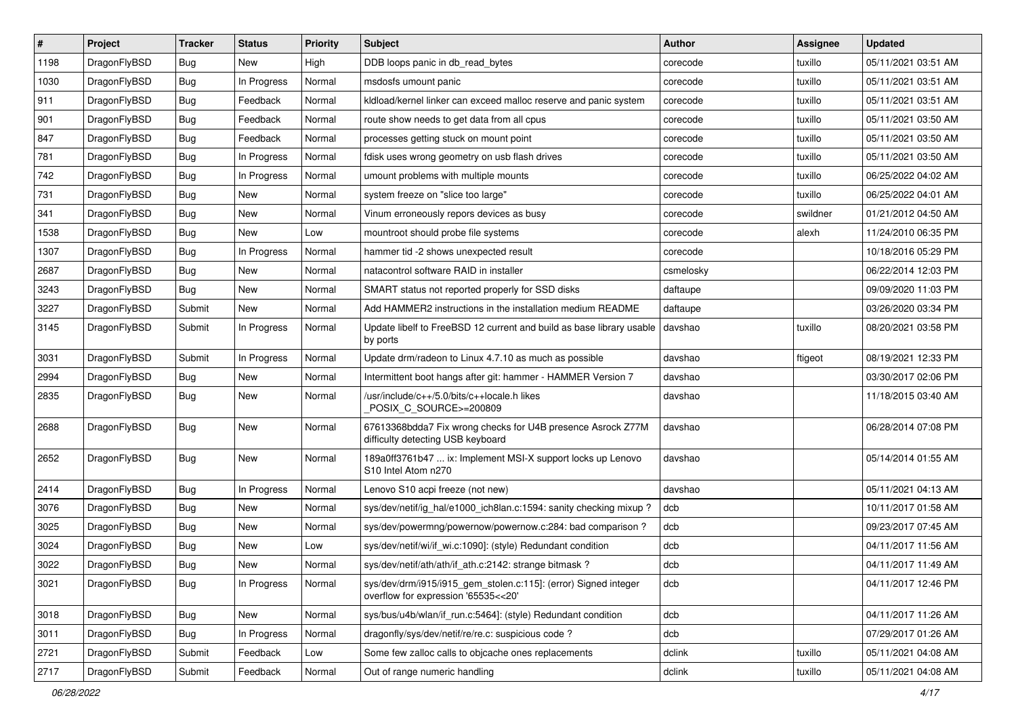| $\vert$ # | Project      | <b>Tracker</b> | <b>Status</b> | <b>Priority</b> | Subject                                                                                                | <b>Author</b> | Assignee | <b>Updated</b>      |
|-----------|--------------|----------------|---------------|-----------------|--------------------------------------------------------------------------------------------------------|---------------|----------|---------------------|
| 1198      | DragonFlyBSD | Bug            | New           | High            | DDB loops panic in db read bytes                                                                       | corecode      | tuxillo  | 05/11/2021 03:51 AM |
| 1030      | DragonFlyBSD | Bug            | In Progress   | Normal          | msdosfs umount panic                                                                                   | corecode      | tuxillo  | 05/11/2021 03:51 AM |
| 911       | DragonFlyBSD | Bug            | Feedback      | Normal          | kldload/kernel linker can exceed malloc reserve and panic system                                       | corecode      | tuxillo  | 05/11/2021 03:51 AM |
| 901       | DragonFlyBSD | <b>Bug</b>     | Feedback      | Normal          | route show needs to get data from all cpus                                                             | corecode      | tuxillo  | 05/11/2021 03:50 AM |
| 847       | DragonFlyBSD | <b>Bug</b>     | Feedback      | Normal          | processes getting stuck on mount point                                                                 | corecode      | tuxillo  | 05/11/2021 03:50 AM |
| 781       | DragonFlyBSD | <b>Bug</b>     | In Progress   | Normal          | fdisk uses wrong geometry on usb flash drives                                                          | corecode      | tuxillo  | 05/11/2021 03:50 AM |
| 742       | DragonFlyBSD | <b>Bug</b>     | In Progress   | Normal          | umount problems with multiple mounts                                                                   | corecode      | tuxillo  | 06/25/2022 04:02 AM |
| 731       | DragonFlyBSD | <b>Bug</b>     | New           | Normal          | system freeze on "slice too large"                                                                     | corecode      | tuxillo  | 06/25/2022 04:01 AM |
| 341       | DragonFlyBSD | <b>Bug</b>     | <b>New</b>    | Normal          | Vinum erroneously repors devices as busy                                                               | corecode      | swildner | 01/21/2012 04:50 AM |
| 1538      | DragonFlyBSD | <b>Bug</b>     | New           | Low             | mountroot should probe file systems                                                                    | corecode      | alexh    | 11/24/2010 06:35 PM |
| 1307      | DragonFlyBSD | <b>Bug</b>     | In Progress   | Normal          | hammer tid -2 shows unexpected result                                                                  | corecode      |          | 10/18/2016 05:29 PM |
| 2687      | DragonFlyBSD | <b>Bug</b>     | New           | Normal          | natacontrol software RAID in installer                                                                 | csmelosky     |          | 06/22/2014 12:03 PM |
| 3243      | DragonFlyBSD | <b>Bug</b>     | New           | Normal          | SMART status not reported properly for SSD disks                                                       | daftaupe      |          | 09/09/2020 11:03 PM |
| 3227      | DragonFlyBSD | Submit         | New           | Normal          | Add HAMMER2 instructions in the installation medium README                                             | daftaupe      |          | 03/26/2020 03:34 PM |
| 3145      | DragonFlyBSD | Submit         | In Progress   | Normal          | Update libelf to FreeBSD 12 current and build as base library usable<br>by ports                       | davshao       | tuxillo  | 08/20/2021 03:58 PM |
| 3031      | DragonFlyBSD | Submit         | In Progress   | Normal          | Update drm/radeon to Linux 4.7.10 as much as possible                                                  | davshao       | ftigeot  | 08/19/2021 12:33 PM |
| 2994      | DragonFlyBSD | Bug            | New           | Normal          | Intermittent boot hangs after git: hammer - HAMMER Version 7                                           | davshao       |          | 03/30/2017 02:06 PM |
| 2835      | DragonFlyBSD | <b>Bug</b>     | New           | Normal          | /usr/include/c++/5.0/bits/c++locale.h likes<br>POSIX_C_SOURCE>=200809                                  | davshao       |          | 11/18/2015 03:40 AM |
| 2688      | DragonFlyBSD | <b>Bug</b>     | New           | Normal          | 67613368bdda7 Fix wrong checks for U4B presence Asrock Z77M<br>difficulty detecting USB keyboard       | davshao       |          | 06/28/2014 07:08 PM |
| 2652      | DragonFlyBSD | Bug            | <b>New</b>    | Normal          | 189a0ff3761b47  ix: Implement MSI-X support locks up Lenovo<br>S10 Intel Atom n270                     | davshao       |          | 05/14/2014 01:55 AM |
| 2414      | DragonFlyBSD | Bug            | In Progress   | Normal          | Lenovo S10 acpi freeze (not new)                                                                       | davshao       |          | 05/11/2021 04:13 AM |
| 3076      | DragonFlyBSD | <b>Bug</b>     | New           | Normal          | sys/dev/netif/ig_hal/e1000_ich8lan.c:1594: sanity checking mixup ?                                     | dcb           |          | 10/11/2017 01:58 AM |
| 3025      | DragonFlyBSD | <b>Bug</b>     | <b>New</b>    | Normal          | sys/dev/powermng/powernow/powernow.c:284: bad comparison?                                              | dcb           |          | 09/23/2017 07:45 AM |
| 3024      | DragonFlyBSD | Bug            | New           | Low             | sys/dev/netif/wi/if wi.c:1090]: (style) Redundant condition                                            | dcb           |          | 04/11/2017 11:56 AM |
| 3022      | DragonFlyBSD | Bug            | <b>New</b>    | Normal          | sys/dev/netif/ath/ath/if_ath.c:2142: strange bitmask?                                                  | dcb           |          | 04/11/2017 11:49 AM |
| 3021      | DragonFlyBSD | <b>Bug</b>     | In Progress   | Normal          | sys/dev/drm/i915/i915_gem_stolen.c:115]: (error) Signed integer<br>overflow for expression '65535<<20' | dcb           |          | 04/11/2017 12:46 PM |
| 3018      | DragonFlyBSD | <b>Bug</b>     | <b>New</b>    | Normal          | sys/bus/u4b/wlan/if_run.c:5464]: (style) Redundant condition                                           | dcb           |          | 04/11/2017 11:26 AM |
| 3011      | DragonFlyBSD | Bug            | In Progress   | Normal          | dragonfly/sys/dev/netif/re/re.c: suspicious code ?                                                     | dcb           |          | 07/29/2017 01:26 AM |
| 2721      | DragonFlyBSD | Submit         | Feedback      | Low             | Some few zalloc calls to objcache ones replacements                                                    | dclink        | tuxillo  | 05/11/2021 04:08 AM |
| 2717      | DragonFlyBSD | Submit         | Feedback      | Normal          | Out of range numeric handling                                                                          | dclink        | tuxillo  | 05/11/2021 04:08 AM |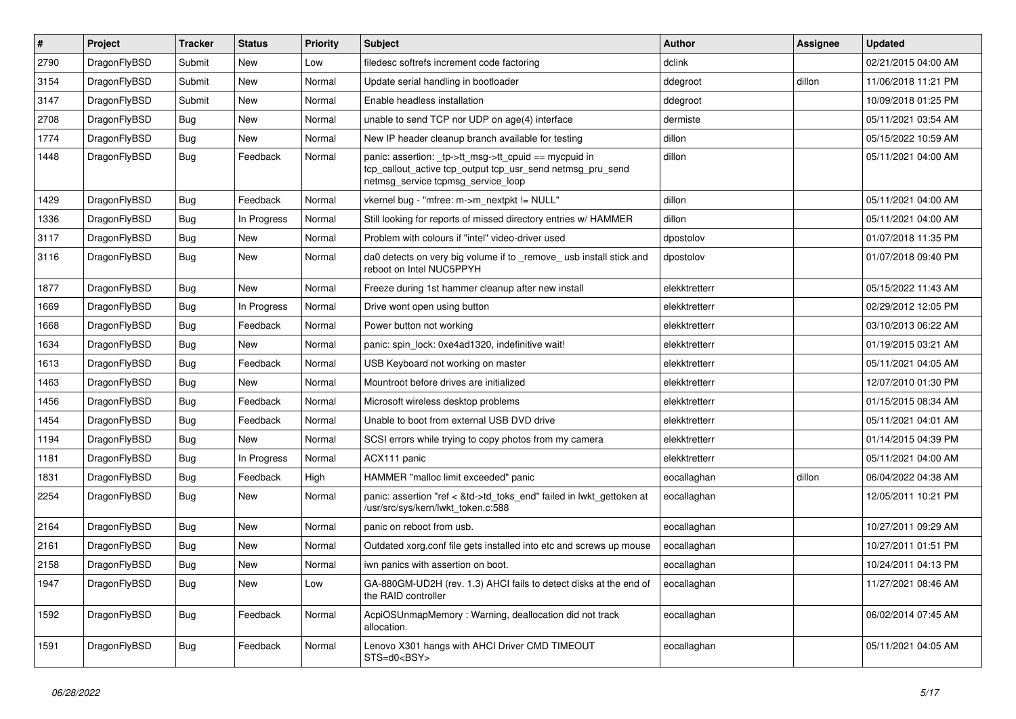| $\vert$ # | Project      | <b>Tracker</b> | <b>Status</b> | <b>Priority</b> | <b>Subject</b>                                                                                                                                            | <b>Author</b> | <b>Assignee</b> | <b>Updated</b>      |
|-----------|--------------|----------------|---------------|-----------------|-----------------------------------------------------------------------------------------------------------------------------------------------------------|---------------|-----------------|---------------------|
| 2790      | DragonFlyBSD | Submit         | New           | Low             | filedesc softrefs increment code factoring                                                                                                                | dclink        |                 | 02/21/2015 04:00 AM |
| 3154      | DragonFlyBSD | Submit         | New           | Normal          | Update serial handling in bootloader                                                                                                                      | ddegroot      | dillon          | 11/06/2018 11:21 PM |
| 3147      | DragonFlyBSD | Submit         | New           | Normal          | Enable headless installation                                                                                                                              | ddegroot      |                 | 10/09/2018 01:25 PM |
| 2708      | DragonFlyBSD | Bug            | New           | Normal          | unable to send TCP nor UDP on age(4) interface                                                                                                            | dermiste      |                 | 05/11/2021 03:54 AM |
| 1774      | DragonFlyBSD | <b>Bug</b>     | New           | Normal          | New IP header cleanup branch available for testing                                                                                                        | dillon        |                 | 05/15/2022 10:59 AM |
| 1448      | DragonFlyBSD | <b>Bug</b>     | Feedback      | Normal          | panic: assertion: _tp->tt_msg->tt_cpuid == mycpuid in<br>tcp_callout_active tcp_output tcp_usr_send netmsg_pru_send<br>netmsg_service tcpmsg_service_loop | dillon        |                 | 05/11/2021 04:00 AM |
| 1429      | DragonFlyBSD | <b>Bug</b>     | Feedback      | Normal          | vkernel bug - "mfree: m->m_nextpkt != NULL"                                                                                                               | dillon        |                 | 05/11/2021 04:00 AM |
| 1336      | DragonFlyBSD | <b>Bug</b>     | In Progress   | Normal          | Still looking for reports of missed directory entries w/ HAMMER                                                                                           | dillon        |                 | 05/11/2021 04:00 AM |
| 3117      | DragonFlyBSD | Bug            | New           | Normal          | Problem with colours if "intel" video-driver used                                                                                                         | dpostolov     |                 | 01/07/2018 11:35 PM |
| 3116      | DragonFlyBSD | Bug            | New           | Normal          | da0 detects on very big volume if to _remove_ usb install stick and<br>reboot on Intel NUC5PPYH                                                           | dpostolov     |                 | 01/07/2018 09:40 PM |
| 1877      | DragonFlyBSD | Bug            | New           | Normal          | Freeze during 1st hammer cleanup after new install                                                                                                        | elekktretterr |                 | 05/15/2022 11:43 AM |
| 1669      | DragonFlyBSD | <b>Bug</b>     | In Progress   | Normal          | Drive wont open using button                                                                                                                              | elekktretterr |                 | 02/29/2012 12:05 PM |
| 1668      | DragonFlyBSD | <b>Bug</b>     | Feedback      | Normal          | Power button not working                                                                                                                                  | elekktretterr |                 | 03/10/2013 06:22 AM |
| 1634      | DragonFlyBSD | <b>Bug</b>     | New           | Normal          | panic: spin lock: 0xe4ad1320, indefinitive wait!                                                                                                          | elekktretterr |                 | 01/19/2015 03:21 AM |
| 1613      | DragonFlyBSD | <b>Bug</b>     | Feedback      | Normal          | USB Keyboard not working on master                                                                                                                        | elekktretterr |                 | 05/11/2021 04:05 AM |
| 1463      | DragonFlyBSD | <b>Bug</b>     | <b>New</b>    | Normal          | Mountroot before drives are initialized                                                                                                                   | elekktretterr |                 | 12/07/2010 01:30 PM |
| 1456      | DragonFlyBSD | <b>Bug</b>     | Feedback      | Normal          | Microsoft wireless desktop problems                                                                                                                       | elekktretterr |                 | 01/15/2015 08:34 AM |
| 1454      | DragonFlyBSD | <b>Bug</b>     | Feedback      | Normal          | Unable to boot from external USB DVD drive                                                                                                                | elekktretterr |                 | 05/11/2021 04:01 AM |
| 1194      | DragonFlyBSD | <b>Bug</b>     | New           | Normal          | SCSI errors while trying to copy photos from my camera                                                                                                    | elekktretterr |                 | 01/14/2015 04:39 PM |
| 1181      | DragonFlyBSD | <b>Bug</b>     | In Progress   | Normal          | ACX111 panic                                                                                                                                              | elekktretterr |                 | 05/11/2021 04:00 AM |
| 1831      | DragonFlyBSD | <b>Bug</b>     | Feedback      | High            | HAMMER "malloc limit exceeded" panic                                                                                                                      | eocallaghan   | dillon          | 06/04/2022 04:38 AM |
| 2254      | DragonFlyBSD | Bug            | New           | Normal          | panic: assertion "ref < &td->td_toks_end" failed in lwkt_gettoken at<br>/usr/src/sys/kern/lwkt_token.c:588                                                | eocallaghan   |                 | 12/05/2011 10:21 PM |
| 2164      | DragonFlyBSD | <b>Bug</b>     | New           | Normal          | panic on reboot from usb.                                                                                                                                 | eocallaghan   |                 | 10/27/2011 09:29 AM |
| 2161      | DragonFlyBSD | <b>Bug</b>     | New           | Normal          | Outdated xorg.conf file gets installed into etc and screws up mouse                                                                                       | eocallaghan   |                 | 10/27/2011 01:51 PM |
| 2158      | DragonFlyBSD | <b>Bug</b>     | New           | Normal          | iwn panics with assertion on boot.                                                                                                                        | eocallaghan   |                 | 10/24/2011 04:13 PM |
| 1947      | DragonFlyBSD | <b>Bug</b>     | New           | Low             | GA-880GM-UD2H (rev. 1.3) AHCI fails to detect disks at the end of<br>the RAID controller                                                                  | eocallaghan   |                 | 11/27/2021 08:46 AM |
| 1592      | DragonFlyBSD | <b>Bug</b>     | Feedback      | Normal          | AcpiOSUnmapMemory: Warning, deallocation did not track<br>allocation.                                                                                     | eocallaghan   |                 | 06/02/2014 07:45 AM |
| 1591      | DragonFlyBSD | <b>Bug</b>     | Feedback      | Normal          | Lenovo X301 hangs with AHCI Driver CMD TIMEOUT<br>STS=d0 <bsy></bsy>                                                                                      | eocallaghan   |                 | 05/11/2021 04:05 AM |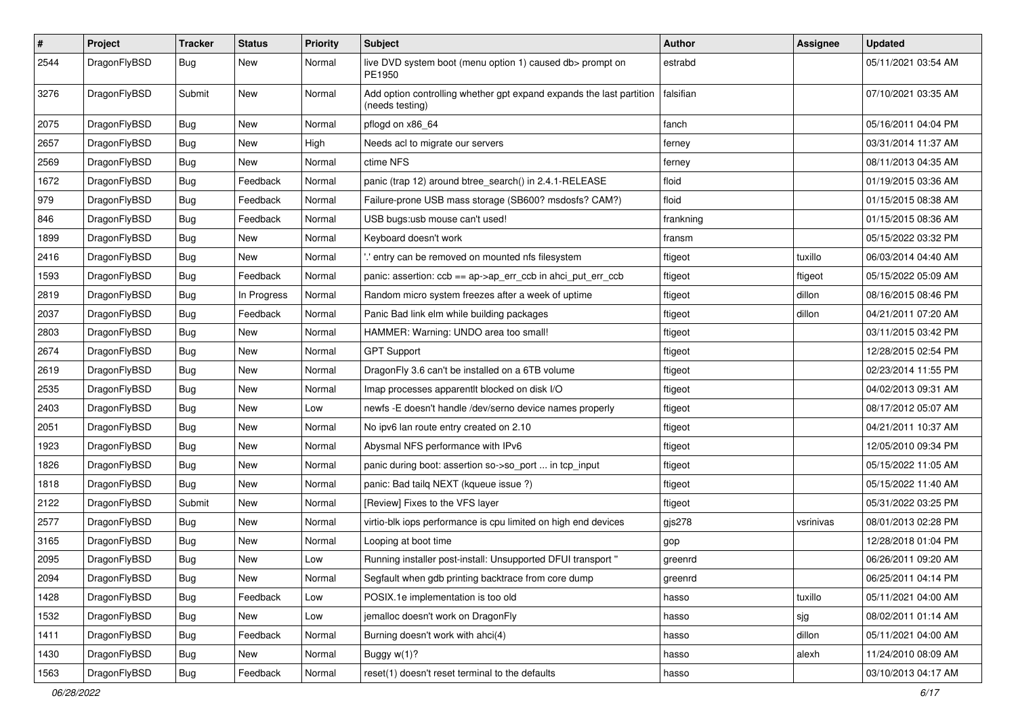| $\pmb{\#}$ | Project      | <b>Tracker</b> | <b>Status</b> | <b>Priority</b> | Subject                                                                                 | Author    | <b>Assignee</b> | <b>Updated</b>      |
|------------|--------------|----------------|---------------|-----------------|-----------------------------------------------------------------------------------------|-----------|-----------------|---------------------|
| 2544       | DragonFlyBSD | Bug            | <b>New</b>    | Normal          | live DVD system boot (menu option 1) caused db> prompt on<br>PE1950                     | estrabd   |                 | 05/11/2021 03:54 AM |
| 3276       | DragonFlyBSD | Submit         | <b>New</b>    | Normal          | Add option controlling whether gpt expand expands the last partition<br>(needs testing) | falsifian |                 | 07/10/2021 03:35 AM |
| 2075       | DragonFlyBSD | Bug            | <b>New</b>    | Normal          | pflogd on x86_64                                                                        | fanch     |                 | 05/16/2011 04:04 PM |
| 2657       | DragonFlyBSD | Bug            | New           | High            | Needs acl to migrate our servers                                                        | ferney    |                 | 03/31/2014 11:37 AM |
| 2569       | DragonFlyBSD | Bug            | New           | Normal          | ctime NFS                                                                               | terney    |                 | 08/11/2013 04:35 AM |
| 1672       | DragonFlyBSD | Bug            | Feedback      | Normal          | panic (trap 12) around btree_search() in 2.4.1-RELEASE                                  | floid     |                 | 01/19/2015 03:36 AM |
| 979        | DragonFlyBSD | Bug            | Feedback      | Normal          | Failure-prone USB mass storage (SB600? msdosfs? CAM?)                                   | floid     |                 | 01/15/2015 08:38 AM |
| 846        | DragonFlyBSD | Bug            | Feedback      | Normal          | USB bugs:usb mouse can't used!                                                          | frankning |                 | 01/15/2015 08:36 AM |
| 1899       | DragonFlyBSD | Bug            | <b>New</b>    | Normal          | Keyboard doesn't work                                                                   | fransm    |                 | 05/15/2022 03:32 PM |
| 2416       | DragonFlyBSD | Bug            | <b>New</b>    | Normal          | ".' entry can be removed on mounted nfs filesystem                                      | ftigeot   | tuxillo         | 06/03/2014 04:40 AM |
| 1593       | DragonFlyBSD | Bug            | Feedback      | Normal          | panic: assertion: ccb == ap->ap_err_ccb in ahci_put_err_ccb                             | ftigeot   | ftigeot         | 05/15/2022 05:09 AM |
| 2819       | DragonFlyBSD | Bug            | In Progress   | Normal          | Random micro system freezes after a week of uptime                                      | ftigeot   | dillon          | 08/16/2015 08:46 PM |
| 2037       | DragonFlyBSD | Bug            | Feedback      | Normal          | Panic Bad link elm while building packages                                              | ftigeot   | dillon          | 04/21/2011 07:20 AM |
| 2803       | DragonFlyBSD | Bug            | New           | Normal          | HAMMER: Warning: UNDO area too small!                                                   | ftigeot   |                 | 03/11/2015 03:42 PM |
| 2674       | DragonFlyBSD | Bug            | New           | Normal          | <b>GPT Support</b>                                                                      | ftigeot   |                 | 12/28/2015 02:54 PM |
| 2619       | DragonFlyBSD | Bug            | New           | Normal          | DragonFly 3.6 can't be installed on a 6TB volume                                        | ftigeot   |                 | 02/23/2014 11:55 PM |
| 2535       | DragonFlyBSD | Bug            | New           | Normal          | Imap processes apparentlt blocked on disk I/O                                           | ftigeot   |                 | 04/02/2013 09:31 AM |
| 2403       | DragonFlyBSD | Bug            | <b>New</b>    | Low             | newfs -E doesn't handle /dev/serno device names properly                                | ftigeot   |                 | 08/17/2012 05:07 AM |
| 2051       | DragonFlyBSD | Bug            | <b>New</b>    | Normal          | No ipv6 lan route entry created on 2.10                                                 | ftigeot   |                 | 04/21/2011 10:37 AM |
| 1923       | DragonFlyBSD | <b>Bug</b>     | New           | Normal          | Abysmal NFS performance with IPv6                                                       | ftigeot   |                 | 12/05/2010 09:34 PM |
| 1826       | DragonFlyBSD | Bug            | New           | Normal          | panic during boot: assertion so->so_port  in tcp_input                                  | ftigeot   |                 | 05/15/2022 11:05 AM |
| 1818       | DragonFlyBSD | <b>Bug</b>     | New           | Normal          | panic: Bad tailq NEXT (kqueue issue ?)                                                  | ftigeot   |                 | 05/15/2022 11:40 AM |
| 2122       | DragonFlyBSD | Submit         | <b>New</b>    | Normal          | [Review] Fixes to the VFS layer                                                         | ftigeot   |                 | 05/31/2022 03:25 PM |
| 2577       | DragonFlyBSD | Bug            | <b>New</b>    | Normal          | virtio-blk iops performance is cpu limited on high end devices                          | gjs278    | vsrinivas       | 08/01/2013 02:28 PM |
| 3165       | DragonFlyBSD | Bug            | <b>New</b>    | Normal          | Looping at boot time                                                                    | gop       |                 | 12/28/2018 01:04 PM |
| 2095       | DragonFlyBSD | Bug            | New           | Low             | Running installer post-install: Unsupported DFUI transport "                            | greenrd   |                 | 06/26/2011 09:20 AM |
| 2094       | DragonFlyBSD | <b>Bug</b>     | New           | Normal          | Segfault when gdb printing backtrace from core dump                                     | greenrd   |                 | 06/25/2011 04:14 PM |
| 1428       | DragonFlyBSD | <b>Bug</b>     | Feedback      | Low             | POSIX.1e implementation is too old                                                      | hasso     | tuxillo         | 05/11/2021 04:00 AM |
| 1532       | DragonFlyBSD | Bug            | New           | Low             | jemalloc doesn't work on DragonFly                                                      | hasso     | sjg             | 08/02/2011 01:14 AM |
| 1411       | DragonFlyBSD | Bug            | Feedback      | Normal          | Burning doesn't work with ahci(4)                                                       | hasso     | dillon          | 05/11/2021 04:00 AM |
| 1430       | DragonFlyBSD | <b>Bug</b>     | New           | Normal          | Buggy w(1)?                                                                             | hasso     | alexh           | 11/24/2010 08:09 AM |
| 1563       | DragonFlyBSD | <b>Bug</b>     | Feedback      | Normal          | reset(1) doesn't reset terminal to the defaults                                         | hasso     |                 | 03/10/2013 04:17 AM |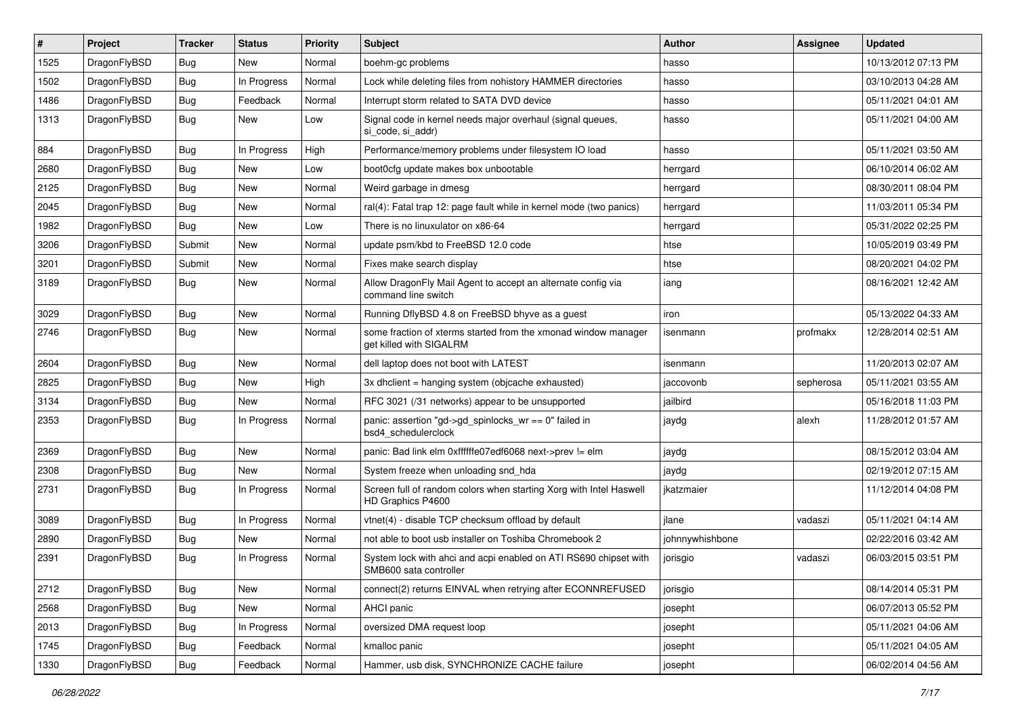| #    | Project      | <b>Tracker</b> | <b>Status</b> | <b>Priority</b> | Subject                                                                                    | Author          | Assignee  | <b>Updated</b>      |
|------|--------------|----------------|---------------|-----------------|--------------------------------------------------------------------------------------------|-----------------|-----------|---------------------|
| 1525 | DragonFlyBSD | <b>Bug</b>     | New           | Normal          | boehm-gc problems                                                                          | hasso           |           | 10/13/2012 07:13 PM |
| 1502 | DragonFlyBSD | <b>Bug</b>     | In Progress   | Normal          | Lock while deleting files from nohistory HAMMER directories                                | hasso           |           | 03/10/2013 04:28 AM |
| 1486 | DragonFlyBSD | <b>Bug</b>     | Feedback      | Normal          | Interrupt storm related to SATA DVD device                                                 | hasso           |           | 05/11/2021 04:01 AM |
| 1313 | DragonFlyBSD | Bug            | New           | Low             | Signal code in kernel needs major overhaul (signal queues,<br>si code, si addr)            | hasso           |           | 05/11/2021 04:00 AM |
| 884  | DragonFlyBSD | Bug            | In Progress   | High            | Performance/memory problems under filesystem IO load                                       | hasso           |           | 05/11/2021 03:50 AM |
| 2680 | DragonFlyBSD | <b>Bug</b>     | <b>New</b>    | Low             | boot0cfg update makes box unbootable                                                       | herrgard        |           | 06/10/2014 06:02 AM |
| 2125 | DragonFlyBSD | <b>Bug</b>     | New           | Normal          | Weird garbage in dmesg                                                                     | herrgard        |           | 08/30/2011 08:04 PM |
| 2045 | DragonFlyBSD | Bug            | New           | Normal          | ral(4): Fatal trap 12: page fault while in kernel mode (two panics)                        | herrgard        |           | 11/03/2011 05:34 PM |
| 1982 | DragonFlyBSD | Bug            | <b>New</b>    | Low             | There is no linuxulator on x86-64                                                          | herrgard        |           | 05/31/2022 02:25 PM |
| 3206 | DragonFlyBSD | Submit         | New           | Normal          | update psm/kbd to FreeBSD 12.0 code                                                        | htse            |           | 10/05/2019 03:49 PM |
| 3201 | DragonFlyBSD | Submit         | New           | Normal          | Fixes make search display                                                                  | htse            |           | 08/20/2021 04:02 PM |
| 3189 | DragonFlyBSD | Bug            | New           | Normal          | Allow DragonFly Mail Agent to accept an alternate config via<br>command line switch        | iang            |           | 08/16/2021 12:42 AM |
| 3029 | DragonFlyBSD | <b>Bug</b>     | New           | Normal          | Running DflyBSD 4.8 on FreeBSD bhyve as a guest                                            | iron            |           | 05/13/2022 04:33 AM |
| 2746 | DragonFlyBSD | Bug            | <b>New</b>    | Normal          | some fraction of xterms started from the xmonad window manager<br>get killed with SIGALRM  | isenmann        | profmakx  | 12/28/2014 02:51 AM |
| 2604 | DragonFlyBSD | <b>Bug</b>     | <b>New</b>    | Normal          | dell laptop does not boot with LATEST                                                      | isenmann        |           | 11/20/2013 02:07 AM |
| 2825 | DragonFlyBSD | <b>Bug</b>     | New           | High            | 3x dhclient = hanging system (objcache exhausted)                                          | jaccovonb       | sepherosa | 05/11/2021 03:55 AM |
| 3134 | DragonFlyBSD | Bug            | <b>New</b>    | Normal          | RFC 3021 (/31 networks) appear to be unsupported                                           | jailbird        |           | 05/16/2018 11:03 PM |
| 2353 | DragonFlyBSD | <b>Bug</b>     | In Progress   | Normal          | panic: assertion "gd->gd_spinlocks_wr == 0" failed in<br>bsd4_schedulerclock               | jaydg           | alexh     | 11/28/2012 01:57 AM |
| 2369 | DragonFlyBSD | Bug            | <b>New</b>    | Normal          | panic: Bad link elm 0xffffffe07edf6068 next->prev != elm                                   | jaydg           |           | 08/15/2012 03:04 AM |
| 2308 | DragonFlyBSD | <b>Bug</b>     | New           | Normal          | System freeze when unloading snd hda                                                       | jaydg           |           | 02/19/2012 07:15 AM |
| 2731 | DragonFlyBSD | Bug            | In Progress   | Normal          | Screen full of random colors when starting Xorg with Intel Haswell<br>HD Graphics P4600    | jkatzmaier      |           | 11/12/2014 04:08 PM |
| 3089 | DragonFlyBSD | <b>Bug</b>     | In Progress   | Normal          | vtnet(4) - disable TCP checksum offload by default                                         | ilane           | vadaszi   | 05/11/2021 04:14 AM |
| 2890 | DragonFlyBSD | Bug            | New           | Normal          | not able to boot usb installer on Toshiba Chromebook 2                                     | johnnywhishbone |           | 02/22/2016 03:42 AM |
| 2391 | DragonFlyBSD | <b>Bug</b>     | In Progress   | Normal          | System lock with ahci and acpi enabled on ATI RS690 chipset with<br>SMB600 sata controller | jorisgio        | vadaszi   | 06/03/2015 03:51 PM |
| 2712 | DragonFlyBSD | Bug            | New           | Normal          | connect(2) returns EINVAL when retrying after ECONNREFUSED                                 | jorisgio        |           | 08/14/2014 05:31 PM |
| 2568 | DragonFlyBSD | <b>Bug</b>     | New           | Normal          | AHCI panic                                                                                 | josepht         |           | 06/07/2013 05:52 PM |
| 2013 | DragonFlyBSD | <b>Bug</b>     | In Progress   | Normal          | oversized DMA request loop                                                                 | josepht         |           | 05/11/2021 04:06 AM |
| 1745 | DragonFlyBSD | <b>Bug</b>     | Feedback      | Normal          | kmalloc panic                                                                              | josepht         |           | 05/11/2021 04:05 AM |
| 1330 | DragonFlyBSD | Bug            | Feedback      | Normal          | Hammer, usb disk, SYNCHRONIZE CACHE failure                                                | josepht         |           | 06/02/2014 04:56 AM |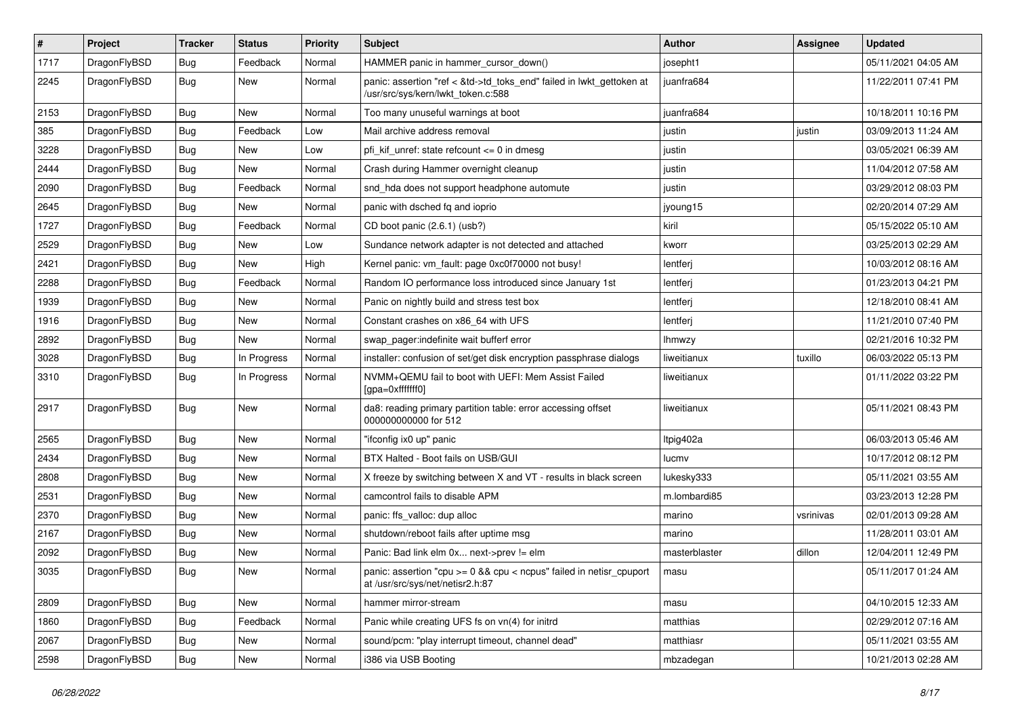| $\sharp$ | Project      | <b>Tracker</b> | <b>Status</b> | <b>Priority</b> | <b>Subject</b>                                                                                             | Author        | <b>Assignee</b> | <b>Updated</b>      |
|----------|--------------|----------------|---------------|-----------------|------------------------------------------------------------------------------------------------------------|---------------|-----------------|---------------------|
| 1717     | DragonFlyBSD | Bug            | Feedback      | Normal          | HAMMER panic in hammer_cursor_down()                                                                       | josepht1      |                 | 05/11/2021 04:05 AM |
| 2245     | DragonFlyBSD | <b>Bug</b>     | <b>New</b>    | Normal          | panic: assertion "ref < &td->td_toks_end" failed in lwkt_gettoken at<br>/usr/src/sys/kern/lwkt_token.c:588 | juanfra684    |                 | 11/22/2011 07:41 PM |
| 2153     | DragonFlyBSD | Bug            | New           | Normal          | Too many unuseful warnings at boot                                                                         | juanfra684    |                 | 10/18/2011 10:16 PM |
| 385      | DragonFlyBSD | Bug            | Feedback      | Low             | Mail archive address removal                                                                               | justin        | justin          | 03/09/2013 11:24 AM |
| 3228     | DragonFlyBSD | Bug            | New           | Low             | pfi kif unref: state refcount $\leq$ 0 in dmesg                                                            | justin        |                 | 03/05/2021 06:39 AM |
| 2444     | DragonFlyBSD | Bug            | New           | Normal          | Crash during Hammer overnight cleanup                                                                      | justin        |                 | 11/04/2012 07:58 AM |
| 2090     | DragonFlyBSD | <b>Bug</b>     | Feedback      | Normal          | snd_hda does not support headphone automute                                                                | justin        |                 | 03/29/2012 08:03 PM |
| 2645     | DragonFlyBSD | <b>Bug</b>     | New           | Normal          | panic with dsched fq and ioprio                                                                            | jyoung15      |                 | 02/20/2014 07:29 AM |
| 1727     | DragonFlyBSD | Bug            | Feedback      | Normal          | CD boot panic (2.6.1) (usb?)                                                                               | kiril         |                 | 05/15/2022 05:10 AM |
| 2529     | DragonFlyBSD | <b>Bug</b>     | New           | Low             | Sundance network adapter is not detected and attached                                                      | kworr         |                 | 03/25/2013 02:29 AM |
| 2421     | DragonFlyBSD | Bug            | New           | High            | Kernel panic: vm_fault: page 0xc0f70000 not busy!                                                          | lentferj      |                 | 10/03/2012 08:16 AM |
| 2288     | DragonFlyBSD | <b>Bug</b>     | Feedback      | Normal          | Random IO performance loss introduced since January 1st                                                    | lentferj      |                 | 01/23/2013 04:21 PM |
| 1939     | DragonFlyBSD | <b>Bug</b>     | <b>New</b>    | Normal          | Panic on nightly build and stress test box                                                                 | lentferj      |                 | 12/18/2010 08:41 AM |
| 1916     | DragonFlyBSD | Bug            | New           | Normal          | Constant crashes on x86_64 with UFS                                                                        | lentferj      |                 | 11/21/2010 07:40 PM |
| 2892     | DragonFlyBSD | <b>Bug</b>     | New           | Normal          | swap pager:indefinite wait bufferf error                                                                   | lhmwzy        |                 | 02/21/2016 10:32 PM |
| 3028     | DragonFlyBSD | <b>Bug</b>     | In Progress   | Normal          | installer: confusion of set/get disk encryption passphrase dialogs                                         | liweitianux   | tuxillo         | 06/03/2022 05:13 PM |
| 3310     | DragonFlyBSD | Bug            | In Progress   | Normal          | NVMM+QEMU fail to boot with UEFI: Mem Assist Failed<br>[gpa=0xfffffff0]                                    | liweitianux   |                 | 01/11/2022 03:22 PM |
| 2917     | DragonFlyBSD | Bug            | New           | Normal          | da8: reading primary partition table: error accessing offset<br>000000000000 for 512                       | liweitianux   |                 | 05/11/2021 08:43 PM |
| 2565     | DragonFlyBSD | Bug            | New           | Normal          | "ifconfig ix0 up" panic                                                                                    | Itpig402a     |                 | 06/03/2013 05:46 AM |
| 2434     | DragonFlyBSD | Bug            | <b>New</b>    | Normal          | BTX Halted - Boot fails on USB/GUI                                                                         | lucmv         |                 | 10/17/2012 08:12 PM |
| 2808     | DragonFlyBSD | <b>Bug</b>     | New           | Normal          | X freeze by switching between X and VT - results in black screen                                           | lukesky333    |                 | 05/11/2021 03:55 AM |
| 2531     | DragonFlyBSD | Bug            | New           | Normal          | camcontrol fails to disable APM                                                                            | m.lombardi85  |                 | 03/23/2013 12:28 PM |
| 2370     | DragonFlyBSD | <b>Bug</b>     | New           | Normal          | panic: ffs_valloc: dup alloc                                                                               | marino        | vsrinivas       | 02/01/2013 09:28 AM |
| 2167     | DragonFlyBSD | <b>Bug</b>     | <b>New</b>    | Normal          | shutdown/reboot fails after uptime msg                                                                     | marino        |                 | 11/28/2011 03:01 AM |
| 2092     | DragonFlyBSD | Bug            | New           | Normal          | Panic: Bad link elm 0x next->prev != elm                                                                   | masterblaster | dillon          | 12/04/2011 12:49 PM |
| 3035     | DragonFlyBSD | i Bug          | New           | Normal          | panic: assertion "cpu >= 0 && cpu < ncpus" failed in netisr_cpuport<br>at /usr/src/sys/net/netisr2.h:87    | masu          |                 | 05/11/2017 01:24 AM |
| 2809     | DragonFlyBSD | <b>Bug</b>     | New           | Normal          | hammer mirror-stream                                                                                       | masu          |                 | 04/10/2015 12:33 AM |
| 1860     | DragonFlyBSD | <b>Bug</b>     | Feedback      | Normal          | Panic while creating UFS fs on vn(4) for initrd                                                            | matthias      |                 | 02/29/2012 07:16 AM |
| 2067     | DragonFlyBSD | <b>Bug</b>     | New           | Normal          | sound/pcm: "play interrupt timeout, channel dead"                                                          | matthiasr     |                 | 05/11/2021 03:55 AM |
| 2598     | DragonFlyBSD | <b>Bug</b>     | New           | Normal          | i386 via USB Booting                                                                                       | mbzadegan     |                 | 10/21/2013 02:28 AM |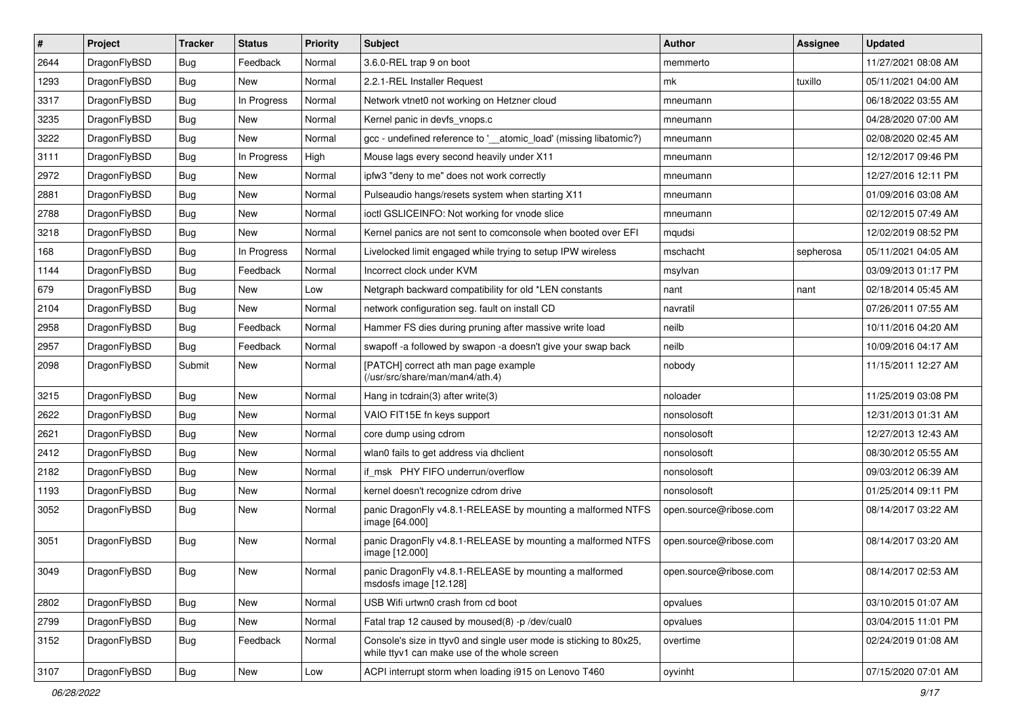| #    | Project      | <b>Tracker</b> | <b>Status</b> | <b>Priority</b> | <b>Subject</b>                                                                                                     | <b>Author</b>          | Assignee  | <b>Updated</b>      |
|------|--------------|----------------|---------------|-----------------|--------------------------------------------------------------------------------------------------------------------|------------------------|-----------|---------------------|
| 2644 | DragonFlyBSD | Bug            | Feedback      | Normal          | 3.6.0-REL trap 9 on boot                                                                                           | memmerto               |           | 11/27/2021 08:08 AM |
| 1293 | DragonFlyBSD | Bug            | <b>New</b>    | Normal          | 2.2.1-REL Installer Request                                                                                        | mk                     | tuxillo   | 05/11/2021 04:00 AM |
| 3317 | DragonFlyBSD | <b>Bug</b>     | In Progress   | Normal          | Network vtnet0 not working on Hetzner cloud                                                                        | mneumann               |           | 06/18/2022 03:55 AM |
| 3235 | DragonFlyBSD | <b>Bug</b>     | New           | Normal          | Kernel panic in devfs_vnops.c                                                                                      | mneumann               |           | 04/28/2020 07:00 AM |
| 3222 | DragonFlyBSD | Bug            | <b>New</b>    | Normal          | gcc - undefined reference to '__atomic_load' (missing libatomic?)                                                  | mneumann               |           | 02/08/2020 02:45 AM |
| 3111 | DragonFlyBSD | <b>Bug</b>     | In Progress   | High            | Mouse lags every second heavily under X11                                                                          | mneumann               |           | 12/12/2017 09:46 PM |
| 2972 | DragonFlyBSD | <b>Bug</b>     | New           | Normal          | ipfw3 "deny to me" does not work correctly                                                                         | mneumann               |           | 12/27/2016 12:11 PM |
| 2881 | DragonFlyBSD | <b>Bug</b>     | <b>New</b>    | Normal          | Pulseaudio hangs/resets system when starting X11                                                                   | mneumann               |           | 01/09/2016 03:08 AM |
| 2788 | DragonFlyBSD | <b>Bug</b>     | New           | Normal          | ioctl GSLICEINFO: Not working for vnode slice                                                                      | mneumann               |           | 02/12/2015 07:49 AM |
| 3218 | DragonFlyBSD | Bug            | New           | Normal          | Kernel panics are not sent to comconsole when booted over EFI                                                      | mqudsi                 |           | 12/02/2019 08:52 PM |
| 168  | DragonFlyBSD | <b>Bug</b>     | In Progress   | Normal          | Livelocked limit engaged while trying to setup IPW wireless                                                        | mschacht               | sepherosa | 05/11/2021 04:05 AM |
| 1144 | DragonFlyBSD | <b>Bug</b>     | Feedback      | Normal          | Incorrect clock under KVM                                                                                          | msylvan                |           | 03/09/2013 01:17 PM |
| 679  | DragonFlyBSD | <b>Bug</b>     | New           | Low             | Netgraph backward compatibility for old *LEN constants                                                             | nant                   | nant      | 02/18/2014 05:45 AM |
| 2104 | DragonFlyBSD | <b>Bug</b>     | New           | Normal          | network configuration seg. fault on install CD                                                                     | navratil               |           | 07/26/2011 07:55 AM |
| 2958 | DragonFlyBSD | Bug            | Feedback      | Normal          | Hammer FS dies during pruning after massive write load                                                             | neilb                  |           | 10/11/2016 04:20 AM |
| 2957 | DragonFlyBSD | <b>Bug</b>     | Feedback      | Normal          | swapoff -a followed by swapon -a doesn't give your swap back                                                       | neilb                  |           | 10/09/2016 04:17 AM |
| 2098 | DragonFlyBSD | Submit         | New           | Normal          | [PATCH] correct ath man page example<br>(/usr/src/share/man/man4/ath.4)                                            | nobody                 |           | 11/15/2011 12:27 AM |
| 3215 | DragonFlyBSD | Bug            | New           | Normal          | Hang in todrain(3) after write(3)                                                                                  | noloader               |           | 11/25/2019 03:08 PM |
| 2622 | DragonFlyBSD | <b>Bug</b>     | New           | Normal          | VAIO FIT15E fn keys support                                                                                        | nonsolosoft            |           | 12/31/2013 01:31 AM |
| 2621 | DragonFlyBSD | <b>Bug</b>     | New           | Normal          | core dump using cdrom                                                                                              | nonsolosoft            |           | 12/27/2013 12:43 AM |
| 2412 | DragonFlyBSD | <b>Bug</b>     | <b>New</b>    | Normal          | wlan0 fails to get address via dhclient                                                                            | nonsolosoft            |           | 08/30/2012 05:55 AM |
| 2182 | DragonFlyBSD | Bug            | <b>New</b>    | Normal          | if_msk PHY FIFO underrun/overflow                                                                                  | nonsolosoft            |           | 09/03/2012 06:39 AM |
| 1193 | DragonFlyBSD | Bug            | New           | Normal          | kernel doesn't recognize cdrom drive                                                                               | nonsolosoft            |           | 01/25/2014 09:11 PM |
| 3052 | DragonFlyBSD | <b>Bug</b>     | New           | Normal          | panic DragonFly v4.8.1-RELEASE by mounting a malformed NTFS<br>image [64.000]                                      | open.source@ribose.com |           | 08/14/2017 03:22 AM |
| 3051 | DragonFlyBSD | Bug            | New           | Normal          | panic DragonFly v4.8.1-RELEASE by mounting a malformed NTFS<br>image [12.000]                                      | open.source@ribose.com |           | 08/14/2017 03:20 AM |
| 3049 | DragonFlyBSD | Bug            | New           | Normal          | panic DragonFly v4.8.1-RELEASE by mounting a malformed<br>msdosfs image [12.128]                                   | open.source@ribose.com |           | 08/14/2017 02:53 AM |
| 2802 | DragonFlyBSD | <b>Bug</b>     | <b>New</b>    | Normal          | USB Wifi urtwn0 crash from cd boot                                                                                 | opvalues               |           | 03/10/2015 01:07 AM |
| 2799 | DragonFlyBSD | <b>Bug</b>     | New           | Normal          | Fatal trap 12 caused by moused(8) -p /dev/cual0                                                                    | opvalues               |           | 03/04/2015 11:01 PM |
| 3152 | DragonFlyBSD | <b>Bug</b>     | Feedback      | Normal          | Console's size in ttyv0 and single user mode is sticking to 80x25,<br>while ttyv1 can make use of the whole screen | overtime               |           | 02/24/2019 01:08 AM |
| 3107 | DragonFlyBSD | Bug            | New           | Low             | ACPI interrupt storm when loading i915 on Lenovo T460                                                              | oyvinht                |           | 07/15/2020 07:01 AM |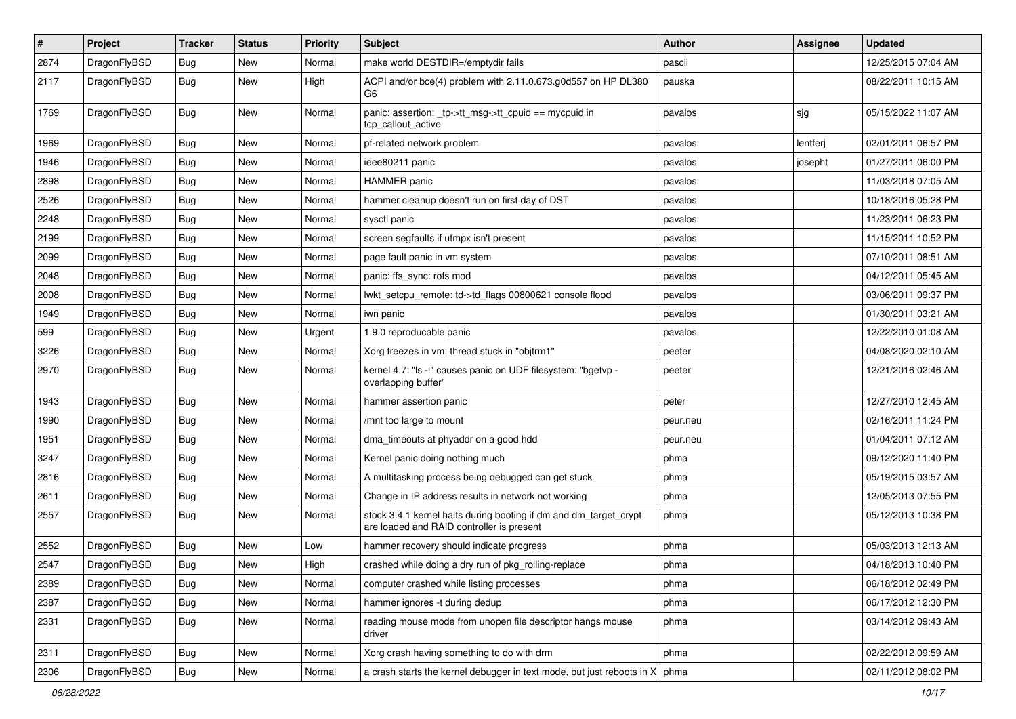| $\sharp$ | Project      | <b>Tracker</b> | <b>Status</b> | <b>Priority</b> | Subject                                                                                                        | <b>Author</b> | Assignee | <b>Updated</b>      |
|----------|--------------|----------------|---------------|-----------------|----------------------------------------------------------------------------------------------------------------|---------------|----------|---------------------|
| 2874     | DragonFlyBSD | <b>Bug</b>     | <b>New</b>    | Normal          | make world DESTDIR=/emptydir fails                                                                             | pascii        |          | 12/25/2015 07:04 AM |
| 2117     | DragonFlyBSD | <b>Bug</b>     | New           | High            | ACPI and/or bce(4) problem with 2.11.0.673.g0d557 on HP DL380<br>G6                                            | pauska        |          | 08/22/2011 10:15 AM |
| 1769     | DragonFlyBSD | <b>Bug</b>     | <b>New</b>    | Normal          | panic: assertion: tp->tt_msg->tt_cpuid == mycpuid in<br>tcp callout active                                     | pavalos       | sjg      | 05/15/2022 11:07 AM |
| 1969     | DragonFlyBSD | <b>Bug</b>     | <b>New</b>    | Normal          | pf-related network problem                                                                                     | pavalos       | lentferj | 02/01/2011 06:57 PM |
| 1946     | DragonFlyBSD | <b>Bug</b>     | New           | Normal          | ieee80211 panic                                                                                                | pavalos       | josepht  | 01/27/2011 06:00 PM |
| 2898     | DragonFlyBSD | <b>Bug</b>     | <b>New</b>    | Normal          | <b>HAMMER</b> panic                                                                                            | pavalos       |          | 11/03/2018 07:05 AM |
| 2526     | DragonFlyBSD | <b>Bug</b>     | <b>New</b>    | Normal          | hammer cleanup doesn't run on first day of DST                                                                 | pavalos       |          | 10/18/2016 05:28 PM |
| 2248     | DragonFlyBSD | <b>Bug</b>     | <b>New</b>    | Normal          | sysctl panic                                                                                                   | pavalos       |          | 11/23/2011 06:23 PM |
| 2199     | DragonFlyBSD | <b>Bug</b>     | <b>New</b>    | Normal          | screen segfaults if utmpx isn't present                                                                        | pavalos       |          | 11/15/2011 10:52 PM |
| 2099     | DragonFlyBSD | <b>Bug</b>     | New           | Normal          | page fault panic in vm system                                                                                  | pavalos       |          | 07/10/2011 08:51 AM |
| 2048     | DragonFlyBSD | <b>Bug</b>     | <b>New</b>    | Normal          | panic: ffs_sync: rofs mod                                                                                      | pavalos       |          | 04/12/2011 05:45 AM |
| 2008     | DragonFlyBSD | <b>Bug</b>     | New           | Normal          | lwkt_setcpu_remote: td->td_flags 00800621 console flood                                                        | pavalos       |          | 03/06/2011 09:37 PM |
| 1949     | DragonFlyBSD | <b>Bug</b>     | <b>New</b>    | Normal          | iwn panic                                                                                                      | pavalos       |          | 01/30/2011 03:21 AM |
| 599      | DragonFlyBSD | <b>Bug</b>     | New           | Urgent          | 1.9.0 reproducable panic                                                                                       | pavalos       |          | 12/22/2010 01:08 AM |
| 3226     | DragonFlyBSD | <b>Bug</b>     | <b>New</b>    | Normal          | Xorg freezes in vm: thread stuck in "objtrm1"                                                                  | peeter        |          | 04/08/2020 02:10 AM |
| 2970     | DragonFlyBSD | <b>Bug</b>     | <b>New</b>    | Normal          | kernel 4.7: "Is -I" causes panic on UDF filesystem: "bgetvp -<br>overlapping buffer"                           | peeter        |          | 12/21/2016 02:46 AM |
| 1943     | DragonFlyBSD | <b>Bug</b>     | <b>New</b>    | Normal          | hammer assertion panic                                                                                         | peter         |          | 12/27/2010 12:45 AM |
| 1990     | DragonFlyBSD | <b>Bug</b>     | <b>New</b>    | Normal          | /mnt too large to mount                                                                                        | peur.neu      |          | 02/16/2011 11:24 PM |
| 1951     | DragonFlyBSD | <b>Bug</b>     | <b>New</b>    | Normal          | dma_timeouts at phyaddr on a good hdd                                                                          | peur.neu      |          | 01/04/2011 07:12 AM |
| 3247     | DragonFlyBSD | <b>Bug</b>     | <b>New</b>    | Normal          | Kernel panic doing nothing much                                                                                | phma          |          | 09/12/2020 11:40 PM |
| 2816     | DragonFlyBSD | <b>Bug</b>     | <b>New</b>    | Normal          | A multitasking process being debugged can get stuck                                                            | phma          |          | 05/19/2015 03:57 AM |
| 2611     | DragonFlyBSD | <b>Bug</b>     | New           | Normal          | Change in IP address results in network not working                                                            | phma          |          | 12/05/2013 07:55 PM |
| 2557     | DragonFlyBSD | <b>Bug</b>     | <b>New</b>    | Normal          | stock 3.4.1 kernel halts during booting if dm and dm_target_crypt<br>are loaded and RAID controller is present | phma          |          | 05/12/2013 10:38 PM |
| 2552     | DragonFlyBSD | <b>Bug</b>     | <b>New</b>    | Low             | hammer recovery should indicate progress                                                                       | phma          |          | 05/03/2013 12:13 AM |
| 2547     | DragonFlyBSD | <b>Bug</b>     | <b>New</b>    | High            | crashed while doing a dry run of pkg_rolling-replace                                                           | phma          |          | 04/18/2013 10:40 PM |
| 2389     | DragonFlyBSD | <b>Bug</b>     | New           | Normal          | computer crashed while listing processes                                                                       | phma          |          | 06/18/2012 02:49 PM |
| 2387     | DragonFlyBSD | <b>Bug</b>     | New           | Normal          | hammer ignores -t during dedup                                                                                 | phma          |          | 06/17/2012 12:30 PM |
| 2331     | DragonFlyBSD | <b>Bug</b>     | New           | Normal          | reading mouse mode from unopen file descriptor hangs mouse<br>driver                                           | phma          |          | 03/14/2012 09:43 AM |
| 2311     | DragonFlyBSD | <b>Bug</b>     | New           | Normal          | Xorg crash having something to do with drm                                                                     | phma          |          | 02/22/2012 09:59 AM |
| 2306     | DragonFlyBSD | <b>Bug</b>     | New           | Normal          | a crash starts the kernel debugger in text mode, but just reboots in $X \mid p$ hma                            |               |          | 02/11/2012 08:02 PM |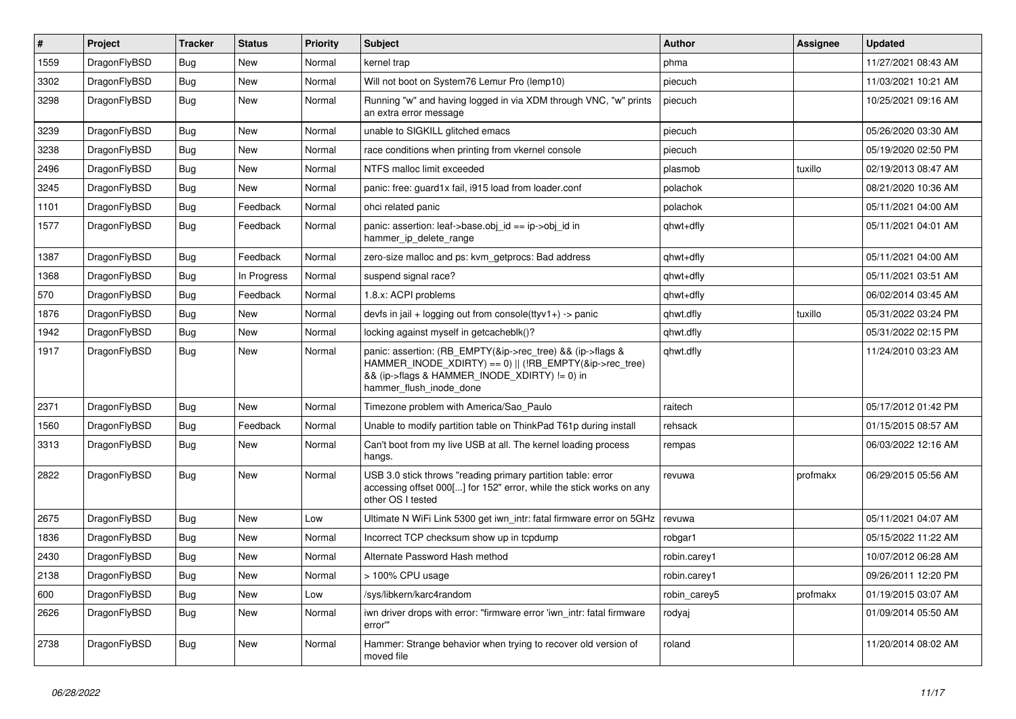| $\pmb{\#}$ | Project      | <b>Tracker</b> | <b>Status</b> | <b>Priority</b> | Subject                                                                                                                                                                                           | Author       | Assignee | <b>Updated</b>      |
|------------|--------------|----------------|---------------|-----------------|---------------------------------------------------------------------------------------------------------------------------------------------------------------------------------------------------|--------------|----------|---------------------|
| 1559       | DragonFlyBSD | Bug            | New           | Normal          | kernel trap                                                                                                                                                                                       | phma         |          | 11/27/2021 08:43 AM |
| 3302       | DragonFlyBSD | Bug            | New           | Normal          | Will not boot on System76 Lemur Pro (lemp10)                                                                                                                                                      | piecuch      |          | 11/03/2021 10:21 AM |
| 3298       | DragonFlyBSD | Bug            | New           | Normal          | Running "w" and having logged in via XDM through VNC, "w" prints<br>an extra error message                                                                                                        | piecuch      |          | 10/25/2021 09:16 AM |
| 3239       | DragonFlyBSD | Bug            | <b>New</b>    | Normal          | unable to SIGKILL glitched emacs                                                                                                                                                                  | piecuch      |          | 05/26/2020 03:30 AM |
| 3238       | DragonFlyBSD | Bug            | New           | Normal          | race conditions when printing from vkernel console                                                                                                                                                | piecuch      |          | 05/19/2020 02:50 PM |
| 2496       | DragonFlyBSD | <b>Bug</b>     | New           | Normal          | NTFS malloc limit exceeded                                                                                                                                                                        | plasmob      | tuxillo  | 02/19/2013 08:47 AM |
| 3245       | DragonFlyBSD | Bug            | New           | Normal          | panic: free: guard1x fail, i915 load from loader.conf                                                                                                                                             | polachok     |          | 08/21/2020 10:36 AM |
| 1101       | DragonFlyBSD | Bug            | Feedback      | Normal          | ohci related panic                                                                                                                                                                                | polachok     |          | 05/11/2021 04:00 AM |
| 1577       | DragonFlyBSD | Bug            | Feedback      | Normal          | panic: assertion: leaf->base.obj_id == ip->obj_id in<br>hammer_ip_delete_range                                                                                                                    | qhwt+dfly    |          | 05/11/2021 04:01 AM |
| 1387       | DragonFlyBSD | Bug            | Feedback      | Normal          | zero-size malloc and ps: kvm_getprocs: Bad address                                                                                                                                                | qhwt+dfly    |          | 05/11/2021 04:00 AM |
| 1368       | DragonFlyBSD | Bug            | In Progress   | Normal          | suspend signal race?                                                                                                                                                                              | qhwt+dfly    |          | 05/11/2021 03:51 AM |
| 570        | DragonFlyBSD | Bug            | Feedback      | Normal          | 1.8.x: ACPI problems                                                                                                                                                                              | qhwt+dfly    |          | 06/02/2014 03:45 AM |
| 1876       | DragonFlyBSD | Bug            | New           | Normal          | devfs in jail + logging out from console(ttyv1+) -> panic                                                                                                                                         | qhwt.dfly    | tuxillo  | 05/31/2022 03:24 PM |
| 1942       | DragonFlyBSD | Bug            | New           | Normal          | locking against myself in getcacheblk()?                                                                                                                                                          | qhwt.dfly    |          | 05/31/2022 02:15 PM |
| 1917       | DragonFlyBSD | Bug            | New           | Normal          | panic: assertion: (RB_EMPTY(&ip->rec_tree) && (ip->flags &<br>HAMMER_INODE_XDIRTY) == 0)    (!RB_EMPTY(&ip->rec_tree)<br>&& (ip->flags & HAMMER_INODE_XDIRTY) != 0) in<br>hammer_flush_inode_done | qhwt.dfly    |          | 11/24/2010 03:23 AM |
| 2371       | DragonFlyBSD | Bug            | <b>New</b>    | Normal          | Timezone problem with America/Sao_Paulo                                                                                                                                                           | raitech      |          | 05/17/2012 01:42 PM |
| 1560       | DragonFlyBSD | Bug            | Feedback      | Normal          | Unable to modify partition table on ThinkPad T61p during install                                                                                                                                  | rehsack      |          | 01/15/2015 08:57 AM |
| 3313       | DragonFlyBSD | Bug            | New           | Normal          | Can't boot from my live USB at all. The kernel loading process<br>hangs.                                                                                                                          | rempas       |          | 06/03/2022 12:16 AM |
| 2822       | DragonFlyBSD | Bug            | <b>New</b>    | Normal          | USB 3.0 stick throws "reading primary partition table: error<br>accessing offset 000[] for 152" error, while the stick works on any<br>other OS I tested                                          | revuwa       | profmakx | 06/29/2015 05:56 AM |
| 2675       | DragonFlyBSD | <b>Bug</b>     | <b>New</b>    | Low             | Ultimate N WiFi Link 5300 get iwn_intr: fatal firmware error on 5GHz                                                                                                                              | revuwa       |          | 05/11/2021 04:07 AM |
| 1836       | DragonFlyBSD | Bug            | New           | Normal          | Incorrect TCP checksum show up in tcpdump                                                                                                                                                         | robgar1      |          | 05/15/2022 11:22 AM |
| 2430       | DragonFlyBSD | Bug            | New           | Normal          | Alternate Password Hash method                                                                                                                                                                    | robin.carey1 |          | 10/07/2012 06:28 AM |
| 2138       | DragonFlyBSD | <b>Bug</b>     | New           | Normal          | > 100% CPU usage                                                                                                                                                                                  | robin.carey1 |          | 09/26/2011 12:20 PM |
| 600        | DragonFlyBSD | <b>Bug</b>     | New           | Low             | /sys/libkern/karc4random                                                                                                                                                                          | robin_carey5 | profmakx | 01/19/2015 03:07 AM |
| 2626       | DragonFlyBSD | Bug            | New           | Normal          | iwn driver drops with error: "firmware error 'iwn_intr: fatal firmware<br>error"                                                                                                                  | rodyaj       |          | 01/09/2014 05:50 AM |
| 2738       | DragonFlyBSD | Bug            | New           | Normal          | Hammer: Strange behavior when trying to recover old version of<br>moved file                                                                                                                      | roland       |          | 11/20/2014 08:02 AM |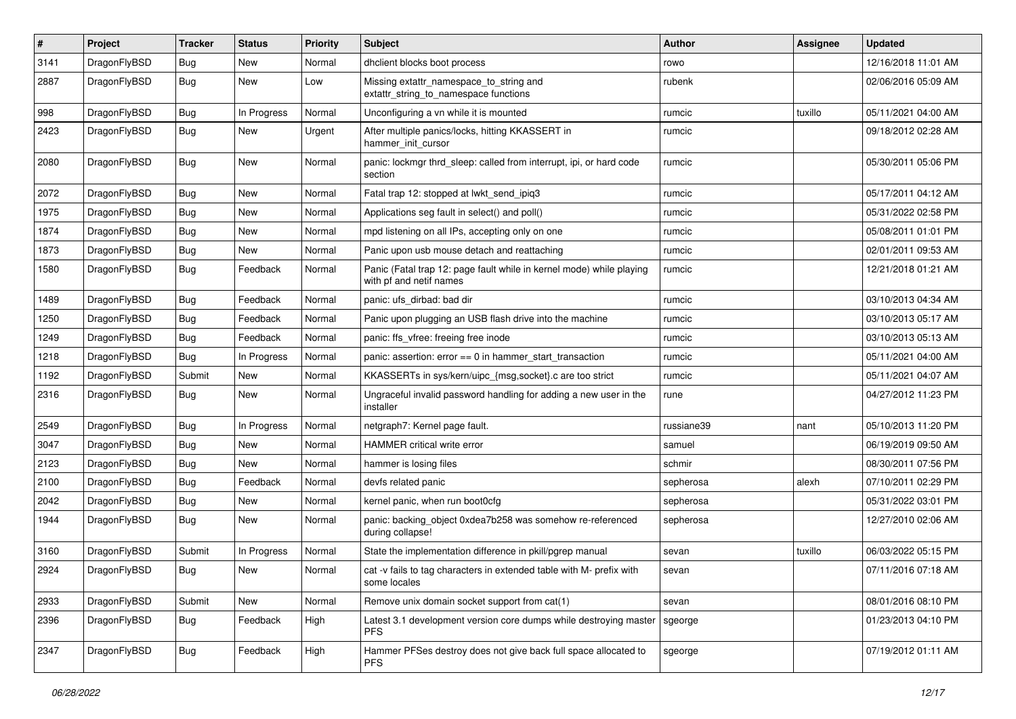| $\pmb{\#}$ | Project      | <b>Tracker</b> | <b>Status</b> | <b>Priority</b> | Subject                                                                                         | <b>Author</b> | <b>Assignee</b> | <b>Updated</b>      |
|------------|--------------|----------------|---------------|-----------------|-------------------------------------------------------------------------------------------------|---------------|-----------------|---------------------|
| 3141       | DragonFlyBSD | Bug            | <b>New</b>    | Normal          | dhclient blocks boot process                                                                    | rowo          |                 | 12/16/2018 11:01 AM |
| 2887       | DragonFlyBSD | Bug            | New           | Low             | Missing extattr_namespace_to_string and<br>extattr string to namespace functions                | rubenk        |                 | 02/06/2016 05:09 AM |
| 998        | DragonFlyBSD | Bug            | In Progress   | Normal          | Unconfiguring a vn while it is mounted                                                          | rumcic        | tuxillo         | 05/11/2021 04:00 AM |
| 2423       | DragonFlyBSD | Bug            | New           | Urgent          | After multiple panics/locks, hitting KKASSERT in<br>hammer init cursor                          | rumcic        |                 | 09/18/2012 02:28 AM |
| 2080       | DragonFlyBSD | Bug            | <b>New</b>    | Normal          | panic: lockmgr thrd sleep: called from interrupt, ipi, or hard code<br>section                  | rumcic        |                 | 05/30/2011 05:06 PM |
| 2072       | DragonFlyBSD | Bug            | <b>New</b>    | Normal          | Fatal trap 12: stopped at lwkt_send_ipiq3                                                       | rumcic        |                 | 05/17/2011 04:12 AM |
| 1975       | DragonFlyBSD | Bug            | <b>New</b>    | Normal          | Applications seg fault in select() and poll()                                                   | rumcic        |                 | 05/31/2022 02:58 PM |
| 1874       | DragonFlyBSD | Bug            | <b>New</b>    | Normal          | mpd listening on all IPs, accepting only on one                                                 | rumcic        |                 | 05/08/2011 01:01 PM |
| 1873       | DragonFlyBSD | Bug            | New           | Normal          | Panic upon usb mouse detach and reattaching                                                     | rumcic        |                 | 02/01/2011 09:53 AM |
| 1580       | DragonFlyBSD | Bug            | Feedback      | Normal          | Panic (Fatal trap 12: page fault while in kernel mode) while playing<br>with pf and netif names | rumcic        |                 | 12/21/2018 01:21 AM |
| 1489       | DragonFlyBSD | Bug            | Feedback      | Normal          | panic: ufs dirbad: bad dir                                                                      | rumcic        |                 | 03/10/2013 04:34 AM |
| 1250       | DragonFlyBSD | Bug            | Feedback      | Normal          | Panic upon plugging an USB flash drive into the machine                                         | rumcic        |                 | 03/10/2013 05:17 AM |
| 1249       | DragonFlyBSD | Bug            | Feedback      | Normal          | panic: ffs_vfree: freeing free inode                                                            | rumcic        |                 | 03/10/2013 05:13 AM |
| 1218       | DragonFlyBSD | Bug            | In Progress   | Normal          | panic: assertion: $error == 0$ in hammer start transaction                                      | rumcic        |                 | 05/11/2021 04:00 AM |
| 1192       | DragonFlyBSD | Submit         | <b>New</b>    | Normal          | KKASSERTs in sys/kern/uipc_{msg,socket}.c are too strict                                        | rumcic        |                 | 05/11/2021 04:07 AM |
| 2316       | DragonFlyBSD | Bug            | New           | Normal          | Ungraceful invalid password handling for adding a new user in the<br>installer                  | rune          |                 | 04/27/2012 11:23 PM |
| 2549       | DragonFlyBSD | Bug            | In Progress   | Normal          | netgraph7: Kernel page fault.                                                                   | russiane39    | nant            | 05/10/2013 11:20 PM |
| 3047       | DragonFlyBSD | Bug            | <b>New</b>    | Normal          | HAMMER critical write error                                                                     | samuel        |                 | 06/19/2019 09:50 AM |
| 2123       | DragonFlyBSD | Bug            | <b>New</b>    | Normal          | hammer is losing files                                                                          | schmir        |                 | 08/30/2011 07:56 PM |
| 2100       | DragonFlyBSD | <b>Bug</b>     | Feedback      | Normal          | devfs related panic                                                                             | sepherosa     | alexh           | 07/10/2011 02:29 PM |
| 2042       | DragonFlyBSD | Bug            | New           | Normal          | kernel panic, when run boot0cfg                                                                 | sepherosa     |                 | 05/31/2022 03:01 PM |
| 1944       | DragonFlyBSD | <b>Bug</b>     | New           | Normal          | panic: backing_object 0xdea7b258 was somehow re-referenced<br>during collapse!                  | sepherosa     |                 | 12/27/2010 02:06 AM |
| 3160       | DragonFlyBSD | Submit         | In Progress   | Normal          | State the implementation difference in pkill/pgrep manual                                       | sevan         | tuxillo         | 06/03/2022 05:15 PM |
| 2924       | DragonFlyBSD | Bug            | <b>New</b>    | Normal          | cat -v fails to tag characters in extended table with M- prefix with<br>some locales            | sevan         |                 | 07/11/2016 07:18 AM |
| 2933       | DragonFlyBSD | Submit         | New           | Normal          | Remove unix domain socket support from cat(1)                                                   | sevan         |                 | 08/01/2016 08:10 PM |
| 2396       | DragonFlyBSD | <b>Bug</b>     | Feedback      | High            | Latest 3.1 development version core dumps while destroying master<br><b>PFS</b>                 | sgeorge       |                 | 01/23/2013 04:10 PM |
| 2347       | DragonFlyBSD | Bug            | Feedback      | High            | Hammer PFSes destroy does not give back full space allocated to<br><b>PFS</b>                   | sgeorge       |                 | 07/19/2012 01:11 AM |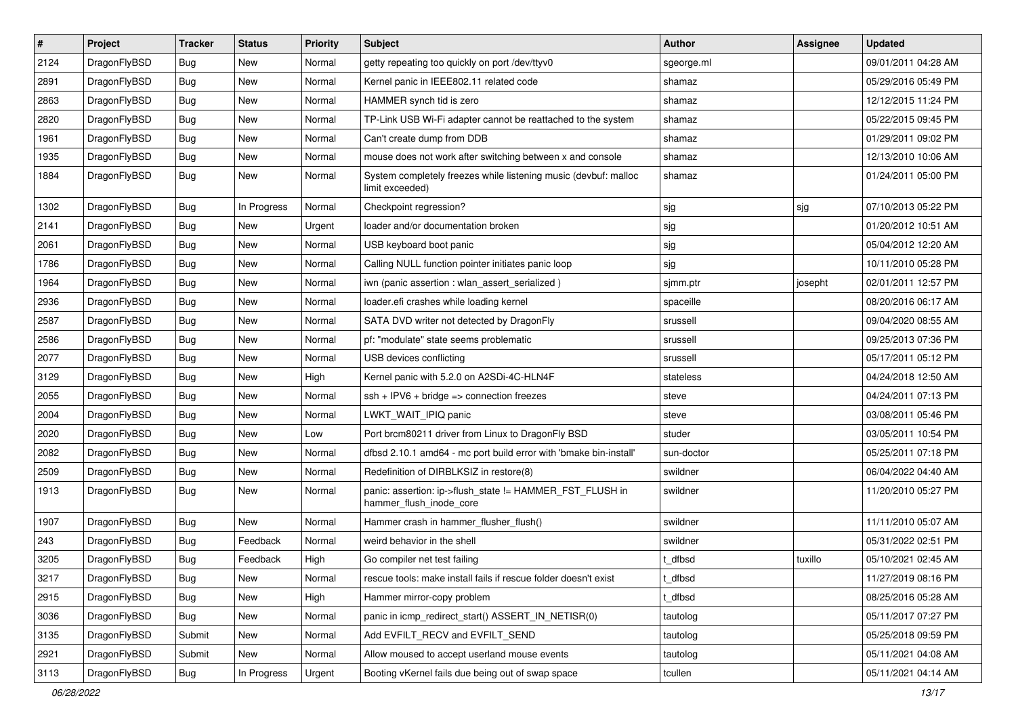| $\sharp$ | Project      | <b>Tracker</b> | <b>Status</b> | <b>Priority</b> | <b>Subject</b>                                                                      | Author     | Assignee | <b>Updated</b>      |
|----------|--------------|----------------|---------------|-----------------|-------------------------------------------------------------------------------------|------------|----------|---------------------|
| 2124     | DragonFlyBSD | Bug            | New           | Normal          | getty repeating too quickly on port /dev/ttyv0                                      | sgeorge.ml |          | 09/01/2011 04:28 AM |
| 2891     | DragonFlyBSD | Bug            | New           | Normal          | Kernel panic in IEEE802.11 related code                                             | shamaz     |          | 05/29/2016 05:49 PM |
| 2863     | DragonFlyBSD | <b>Bug</b>     | <b>New</b>    | Normal          | HAMMER synch tid is zero                                                            | shamaz     |          | 12/12/2015 11:24 PM |
| 2820     | DragonFlyBSD | <b>Bug</b>     | New           | Normal          | TP-Link USB Wi-Fi adapter cannot be reattached to the system                        | shamaz     |          | 05/22/2015 09:45 PM |
| 1961     | DragonFlyBSD | Bug            | <b>New</b>    | Normal          | Can't create dump from DDB                                                          | shamaz     |          | 01/29/2011 09:02 PM |
| 1935     | DragonFlyBSD | Bug            | <b>New</b>    | Normal          | mouse does not work after switching between x and console                           | shamaz     |          | 12/13/2010 10:06 AM |
| 1884     | DragonFlyBSD | Bug            | New           | Normal          | System completely freezes while listening music (devbuf: malloc<br>limit exceeded)  | shamaz     |          | 01/24/2011 05:00 PM |
| 1302     | DragonFlyBSD | Bug            | In Progress   | Normal          | Checkpoint regression?                                                              | sjg        | sjg      | 07/10/2013 05:22 PM |
| 2141     | DragonFlyBSD | <b>Bug</b>     | <b>New</b>    | Urgent          | loader and/or documentation broken                                                  | sjg        |          | 01/20/2012 10:51 AM |
| 2061     | DragonFlyBSD | Bug            | <b>New</b>    | Normal          | USB keyboard boot panic                                                             | sjg        |          | 05/04/2012 12:20 AM |
| 1786     | DragonFlyBSD | Bug            | <b>New</b>    | Normal          | Calling NULL function pointer initiates panic loop                                  | sjg        |          | 10/11/2010 05:28 PM |
| 1964     | DragonFlyBSD | Bug            | <b>New</b>    | Normal          | iwn (panic assertion : wlan_assert_serialized)                                      | sjmm.ptr   | josepht  | 02/01/2011 12:57 PM |
| 2936     | DragonFlyBSD | Bug            | <b>New</b>    | Normal          | loader.efi crashes while loading kernel                                             | spaceille  |          | 08/20/2016 06:17 AM |
| 2587     | DragonFlyBSD | Bug            | <b>New</b>    | Normal          | SATA DVD writer not detected by DragonFly                                           | srussell   |          | 09/04/2020 08:55 AM |
| 2586     | DragonFlyBSD | Bug            | <b>New</b>    | Normal          | pf: "modulate" state seems problematic                                              | srussell   |          | 09/25/2013 07:36 PM |
| 2077     | DragonFlyBSD | Bug            | New           | Normal          | USB devices conflicting                                                             | srussell   |          | 05/17/2011 05:12 PM |
| 3129     | DragonFlyBSD | Bug            | <b>New</b>    | High            | Kernel panic with 5.2.0 on A2SDi-4C-HLN4F                                           | stateless  |          | 04/24/2018 12:50 AM |
| 2055     | DragonFlyBSD | Bug            | <b>New</b>    | Normal          | $ssh + IPV6 + bridge \Rightarrow connection freezes$                                | steve      |          | 04/24/2011 07:13 PM |
| 2004     | DragonFlyBSD | Bug            | <b>New</b>    | Normal          | LWKT_WAIT_IPIQ panic                                                                | steve      |          | 03/08/2011 05:46 PM |
| 2020     | DragonFlyBSD | Bug            | New           | Low             | Port brcm80211 driver from Linux to DragonFly BSD                                   | studer     |          | 03/05/2011 10:54 PM |
| 2082     | DragonFlyBSD | Bug            | <b>New</b>    | Normal          | dfbsd 2.10.1 amd64 - mc port build error with 'bmake bin-install'                   | sun-doctor |          | 05/25/2011 07:18 PM |
| 2509     | DragonFlyBSD | Bug            | New           | Normal          | Redefinition of DIRBLKSIZ in restore(8)                                             | swildner   |          | 06/04/2022 04:40 AM |
| 1913     | DragonFlyBSD | <b>Bug</b>     | New           | Normal          | panic: assertion: ip->flush_state != HAMMER_FST_FLUSH in<br>hammer_flush_inode_core | swildner   |          | 11/20/2010 05:27 PM |
| 1907     | DragonFlyBSD | Bug            | <b>New</b>    | Normal          | Hammer crash in hammer flusher flush()                                              | swildner   |          | 11/11/2010 05:07 AM |
| 243      | DragonFlyBSD | Bug            | Feedback      | Normal          | weird behavior in the shell                                                         | swildner   |          | 05/31/2022 02:51 PM |
| 3205     | DragonFlyBSD | Bug            | Feedback      | High            | Go compiler net test failing                                                        | t dfbsd    | tuxillo  | 05/10/2021 02:45 AM |
| 3217     | DragonFlyBSD | <b>Bug</b>     | New           | Normal          | rescue tools: make install fails if rescue folder doesn't exist                     | t_dfbsd    |          | 11/27/2019 08:16 PM |
| 2915     | DragonFlyBSD | <b>Bug</b>     | New           | High            | Hammer mirror-copy problem                                                          | t_dfbsd    |          | 08/25/2016 05:28 AM |
| 3036     | DragonFlyBSD | Bug            | New           | Normal          | panic in icmp_redirect_start() ASSERT_IN_NETISR(0)                                  | tautolog   |          | 05/11/2017 07:27 PM |
| 3135     | DragonFlyBSD | Submit         | New           | Normal          | Add EVFILT_RECV and EVFILT_SEND                                                     | tautolog   |          | 05/25/2018 09:59 PM |
| 2921     | DragonFlyBSD | Submit         | New           | Normal          | Allow moused to accept userland mouse events                                        | tautolog   |          | 05/11/2021 04:08 AM |
| 3113     | DragonFlyBSD | <b>Bug</b>     | In Progress   | Urgent          | Booting vKernel fails due being out of swap space                                   | tcullen    |          | 05/11/2021 04:14 AM |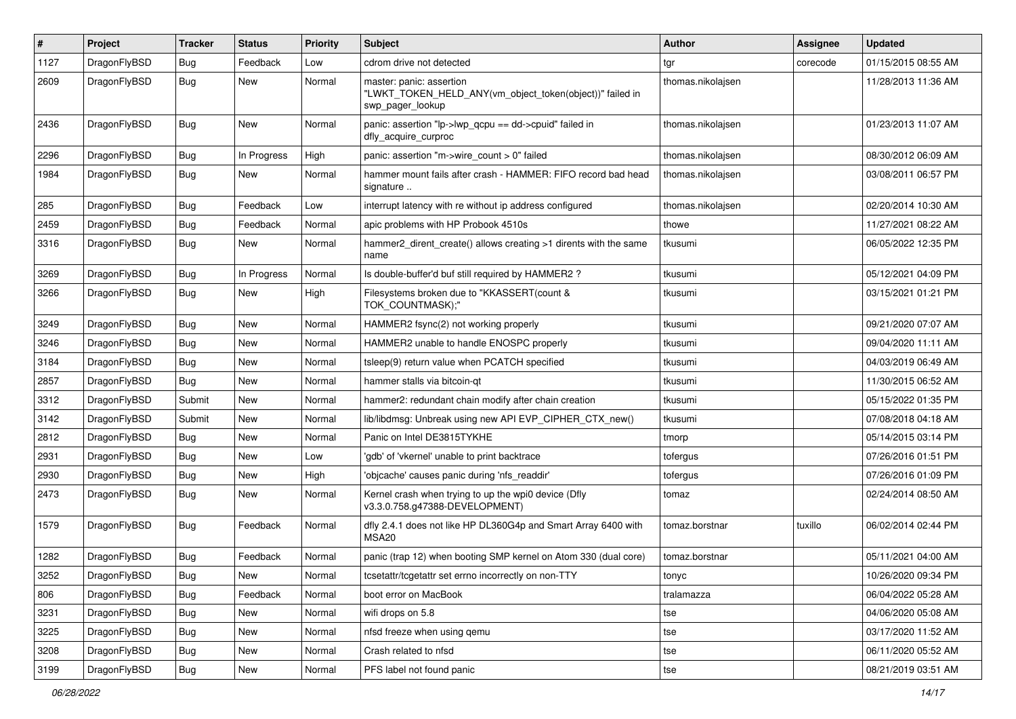| $\sharp$ | Project      | <b>Tracker</b> | <b>Status</b> | <b>Priority</b> | <b>Subject</b>                                                                                           | Author            | <b>Assignee</b> | <b>Updated</b>      |
|----------|--------------|----------------|---------------|-----------------|----------------------------------------------------------------------------------------------------------|-------------------|-----------------|---------------------|
| 1127     | DragonFlyBSD | Bug            | Feedback      | Low             | cdrom drive not detected                                                                                 | tgr               | corecode        | 01/15/2015 08:55 AM |
| 2609     | DragonFlyBSD | Bug            | New           | Normal          | master: panic: assertion<br>"LWKT_TOKEN_HELD_ANY(vm_object_token(object))" failed in<br>swp_pager_lookup | thomas.nikolajsen |                 | 11/28/2013 11:36 AM |
| 2436     | DragonFlyBSD | Bug            | New           | Normal          | panic: assertion "lp->lwp_qcpu == dd->cpuid" failed in<br>dfly_acquire_curproc                           | thomas.nikolajsen |                 | 01/23/2013 11:07 AM |
| 2296     | DragonFlyBSD | Bug            | In Progress   | High            | panic: assertion "m->wire count > 0" failed                                                              | thomas.nikolajsen |                 | 08/30/2012 06:09 AM |
| 1984     | DragonFlyBSD | Bug            | New           | Normal          | hammer mount fails after crash - HAMMER: FIFO record bad head<br>signature                               | thomas.nikolajsen |                 | 03/08/2011 06:57 PM |
| 285      | DragonFlyBSD | Bug            | Feedback      | Low             | interrupt latency with re without ip address configured                                                  | thomas.nikolajsen |                 | 02/20/2014 10:30 AM |
| 2459     | DragonFlyBSD | Bug            | Feedback      | Normal          | apic problems with HP Probook 4510s                                                                      | thowe             |                 | 11/27/2021 08:22 AM |
| 3316     | DragonFlyBSD | Bug            | New           | Normal          | hammer2_dirent_create() allows creating >1 dirents with the same<br>name                                 | tkusumi           |                 | 06/05/2022 12:35 PM |
| 3269     | DragonFlyBSD | Bug            | In Progress   | Normal          | Is double-buffer'd buf still required by HAMMER2?                                                        | tkusumi           |                 | 05/12/2021 04:09 PM |
| 3266     | DragonFlyBSD | Bug            | New           | High            | Filesystems broken due to "KKASSERT(count &<br>TOK_COUNTMASK);"                                          | tkusumi           |                 | 03/15/2021 01:21 PM |
| 3249     | DragonFlyBSD | Bug            | New           | Normal          | HAMMER2 fsync(2) not working properly                                                                    | tkusumi           |                 | 09/21/2020 07:07 AM |
| 3246     | DragonFlyBSD | Bug            | <b>New</b>    | Normal          | HAMMER2 unable to handle ENOSPC properly                                                                 | tkusumi           |                 | 09/04/2020 11:11 AM |
| 3184     | DragonFlyBSD | Bug            | <b>New</b>    | Normal          | tsleep(9) return value when PCATCH specified                                                             | tkusumi           |                 | 04/03/2019 06:49 AM |
| 2857     | DragonFlyBSD | Bug            | New           | Normal          | hammer stalls via bitcoin-qt                                                                             | tkusumi           |                 | 11/30/2015 06:52 AM |
| 3312     | DragonFlyBSD | Submit         | <b>New</b>    | Normal          | hammer2: redundant chain modify after chain creation                                                     | tkusumi           |                 | 05/15/2022 01:35 PM |
| 3142     | DragonFlyBSD | Submit         | New           | Normal          | lib/libdmsg: Unbreak using new API EVP_CIPHER_CTX_new()                                                  | tkusumi           |                 | 07/08/2018 04:18 AM |
| 2812     | DragonFlyBSD | <b>Bug</b>     | New           | Normal          | Panic on Intel DE3815TYKHE                                                                               | tmorp             |                 | 05/14/2015 03:14 PM |
| 2931     | DragonFlyBSD | Bug            | New           | Low             | 'gdb' of 'vkernel' unable to print backtrace                                                             | tofergus          |                 | 07/26/2016 01:51 PM |
| 2930     | DragonFlyBSD | Bug            | <b>New</b>    | High            | 'objcache' causes panic during 'nfs_readdir'                                                             | tofergus          |                 | 07/26/2016 01:09 PM |
| 2473     | DragonFlyBSD | Bug            | New           | Normal          | Kernel crash when trying to up the wpi0 device (Dfly<br>v3.3.0.758.g47388-DEVELOPMENT)                   | tomaz             |                 | 02/24/2014 08:50 AM |
| 1579     | DragonFlyBSD | Bug            | Feedback      | Normal          | dfly 2.4.1 does not like HP DL360G4p and Smart Array 6400 with<br>MSA20                                  | tomaz.borstnar    | tuxillo         | 06/02/2014 02:44 PM |
| 1282     | DragonFlyBSD | Bug            | Feedback      | Normal          | panic (trap 12) when booting SMP kernel on Atom 330 (dual core)                                          | tomaz.borstnar    |                 | 05/11/2021 04:00 AM |
| 3252     | DragonFlyBSD | <b>Bug</b>     | New           | Normal          | tcsetattr/tcgetattr set errno incorrectly on non-TTY                                                     | tonyc             |                 | 10/26/2020 09:34 PM |
| 806      | DragonFlyBSD | Bug            | Feedback      | Normal          | boot error on MacBook                                                                                    | tralamazza        |                 | 06/04/2022 05:28 AM |
| 3231     | DragonFlyBSD | <b>Bug</b>     | New           | Normal          | wifi drops on 5.8                                                                                        | tse               |                 | 04/06/2020 05:08 AM |
| 3225     | DragonFlyBSD | <b>Bug</b>     | New           | Normal          | nfsd freeze when using gemu                                                                              | tse               |                 | 03/17/2020 11:52 AM |
| 3208     | DragonFlyBSD | <b>Bug</b>     | New           | Normal          | Crash related to nfsd                                                                                    | tse               |                 | 06/11/2020 05:52 AM |
| 3199     | DragonFlyBSD | <b>Bug</b>     | New           | Normal          | PFS label not found panic                                                                                | tse               |                 | 08/21/2019 03:51 AM |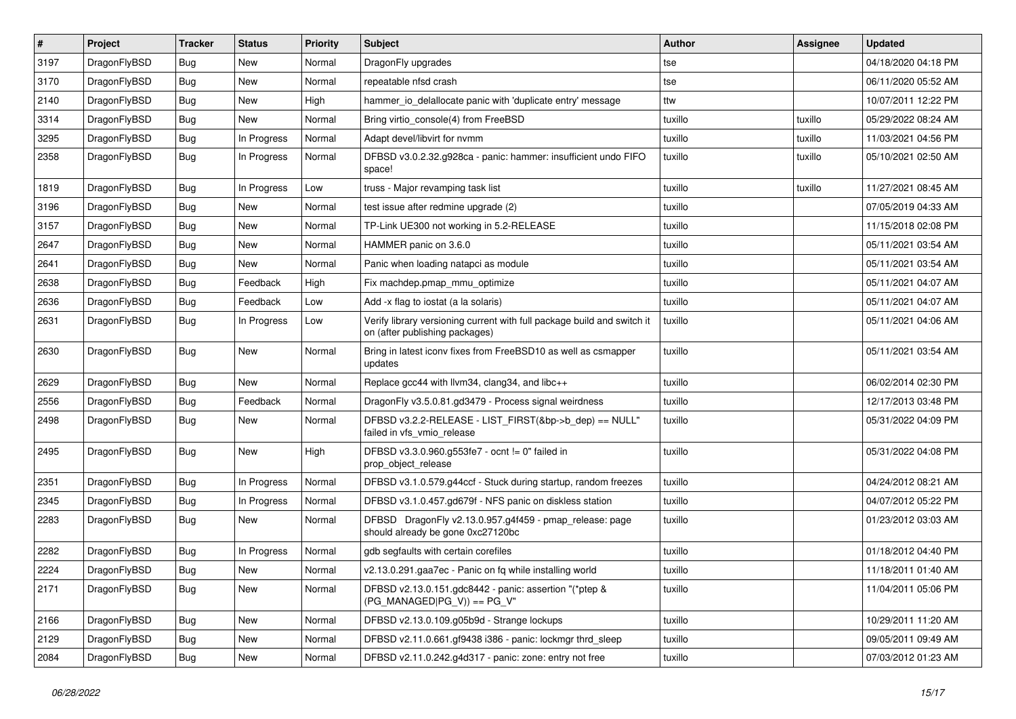| $\sharp$ | Project      | <b>Tracker</b> | <b>Status</b> | <b>Priority</b> | <b>Subject</b>                                                                                            | Author  | Assignee | <b>Updated</b>      |
|----------|--------------|----------------|---------------|-----------------|-----------------------------------------------------------------------------------------------------------|---------|----------|---------------------|
| 3197     | DragonFlyBSD | Bug            | <b>New</b>    | Normal          | DragonFly upgrades                                                                                        | tse     |          | 04/18/2020 04:18 PM |
| 3170     | DragonFlyBSD | <b>Bug</b>     | <b>New</b>    | Normal          | repeatable nfsd crash                                                                                     | tse     |          | 06/11/2020 05:52 AM |
| 2140     | DragonFlyBSD | Bug            | New           | High            | hammer io delallocate panic with 'duplicate entry' message                                                | ttw     |          | 10/07/2011 12:22 PM |
| 3314     | DragonFlyBSD | Bug            | New           | Normal          | Bring virtio console(4) from FreeBSD                                                                      | tuxillo | tuxillo  | 05/29/2022 08:24 AM |
| 3295     | DragonFlyBSD | Bug            | In Progress   | Normal          | Adapt devel/libvirt for nvmm                                                                              | tuxillo | tuxillo  | 11/03/2021 04:56 PM |
| 2358     | DragonFlyBSD | Bug            | In Progress   | Normal          | DFBSD v3.0.2.32.g928ca - panic: hammer: insufficient undo FIFO<br>space!                                  | tuxillo | tuxillo  | 05/10/2021 02:50 AM |
| 1819     | DragonFlyBSD | Bug            | In Progress   | Low             | truss - Major revamping task list                                                                         | tuxillo | tuxillo  | 11/27/2021 08:45 AM |
| 3196     | DragonFlyBSD | Bug            | New           | Normal          | test issue after redmine upgrade (2)                                                                      | tuxillo |          | 07/05/2019 04:33 AM |
| 3157     | DragonFlyBSD | Bug            | <b>New</b>    | Normal          | TP-Link UE300 not working in 5.2-RELEASE                                                                  | tuxillo |          | 11/15/2018 02:08 PM |
| 2647     | DragonFlyBSD | Bug            | New           | Normal          | HAMMER panic on 3.6.0                                                                                     | tuxillo |          | 05/11/2021 03:54 AM |
| 2641     | DragonFlyBSD | Bug            | New           | Normal          | Panic when loading natapci as module                                                                      | tuxillo |          | 05/11/2021 03:54 AM |
| 2638     | DragonFlyBSD | Bug            | Feedback      | High            | Fix machdep.pmap mmu optimize                                                                             | tuxillo |          | 05/11/2021 04:07 AM |
| 2636     | DragonFlyBSD | <b>Bug</b>     | Feedback      | Low             | Add -x flag to iostat (a la solaris)                                                                      | tuxillo |          | 05/11/2021 04:07 AM |
| 2631     | DragonFlyBSD | Bug            | In Progress   | Low             | Verify library versioning current with full package build and switch it<br>on (after publishing packages) | tuxillo |          | 05/11/2021 04:06 AM |
| 2630     | DragonFlyBSD | Bug            | New           | Normal          | Bring in latest iconv fixes from FreeBSD10 as well as csmapper<br>updates                                 | tuxillo |          | 05/11/2021 03:54 AM |
| 2629     | DragonFlyBSD | Bug            | New           | Normal          | Replace gcc44 with llvm34, clang34, and libc++                                                            | tuxillo |          | 06/02/2014 02:30 PM |
| 2556     | DragonFlyBSD | Bug            | Feedback      | Normal          | DragonFly v3.5.0.81.gd3479 - Process signal weirdness                                                     | tuxillo |          | 12/17/2013 03:48 PM |
| 2498     | DragonFlyBSD | Bug            | New           | Normal          | DFBSD v3.2.2-RELEASE - LIST_FIRST(&bp->b_dep) == NULL"<br>failed in vfs vmio release                      | tuxillo |          | 05/31/2022 04:09 PM |
| 2495     | DragonFlyBSD | Bug            | New           | High            | DFBSD v3.3.0.960.g553fe7 - ocnt != 0" failed in<br>prop_object_release                                    | tuxillo |          | 05/31/2022 04:08 PM |
| 2351     | DragonFlyBSD | Bug            | In Progress   | Normal          | DFBSD v3.1.0.579.g44ccf - Stuck during startup, random freezes                                            | tuxillo |          | 04/24/2012 08:21 AM |
| 2345     | DragonFlyBSD | Bug            | In Progress   | Normal          | DFBSD v3.1.0.457.gd679f - NFS panic on diskless station                                                   | tuxillo |          | 04/07/2012 05:22 PM |
| 2283     | DragonFlyBSD | <b>Bug</b>     | New           | Normal          | DFBSD DragonFly v2.13.0.957.g4f459 - pmap_release: page<br>should already be gone 0xc27120bc              | tuxillo |          | 01/23/2012 03:03 AM |
| 2282     | DragonFlyBSD | Bug            | In Progress   | Normal          | gdb segfaults with certain corefiles                                                                      | tuxillo |          | 01/18/2012 04:40 PM |
| 2224     | DragonFlyBSD | Bug            | <b>New</b>    | Normal          | v2.13.0.291.gaa7ec - Panic on fq while installing world                                                   | tuxillo |          | 11/18/2011 01:40 AM |
| 2171     | DragonFlyBSD | Bug            | New           | Normal          | DFBSD v2.13.0.151.gdc8442 - panic: assertion "(*ptep &<br>$(PG$ MANAGED PG V)) == PG V"                   | tuxillo |          | 11/04/2011 05:06 PM |
| 2166     | DragonFlyBSD | <b>Bug</b>     | New           | Normal          | DFBSD v2.13.0.109.g05b9d - Strange lockups                                                                | tuxillo |          | 10/29/2011 11:20 AM |
| 2129     | DragonFlyBSD | Bug            | <b>New</b>    | Normal          | DFBSD v2.11.0.661.gf9438 i386 - panic: lockmgr thrd_sleep                                                 | tuxillo |          | 09/05/2011 09:49 AM |
| 2084     | DragonFlyBSD | <b>Bug</b>     | New           | Normal          | DFBSD v2.11.0.242.g4d317 - panic: zone: entry not free                                                    | tuxillo |          | 07/03/2012 01:23 AM |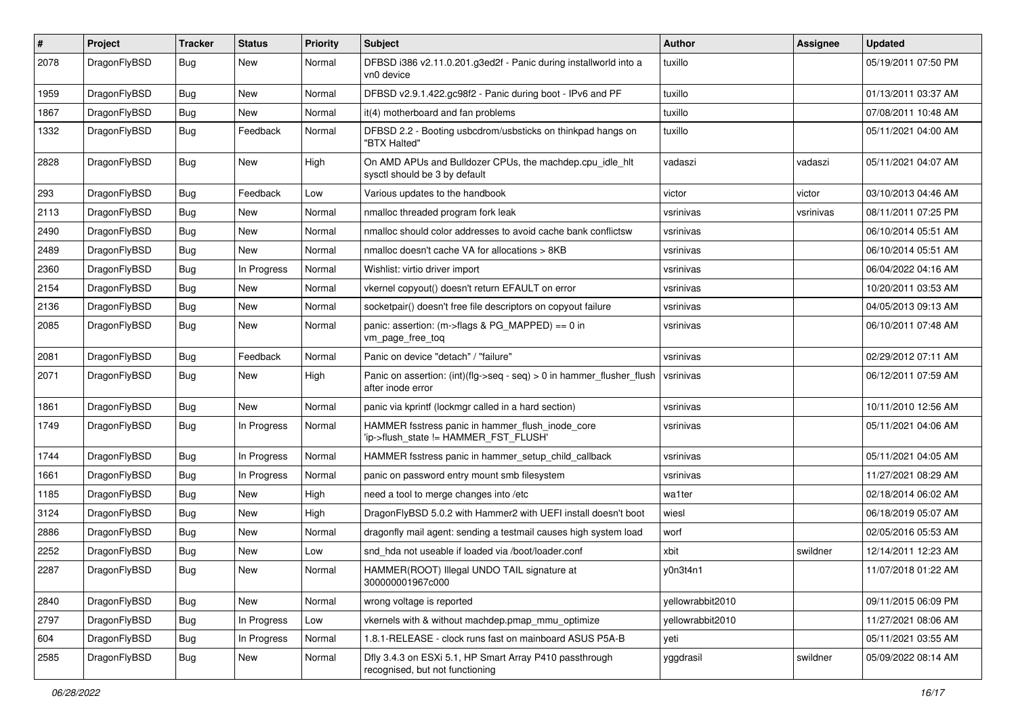| #    | Project      | <b>Tracker</b> | <b>Status</b> | <b>Priority</b> | <b>Subject</b>                                                                             | Author           | Assignee  | <b>Updated</b>      |
|------|--------------|----------------|---------------|-----------------|--------------------------------------------------------------------------------------------|------------------|-----------|---------------------|
| 2078 | DragonFlyBSD | Bug            | New           | Normal          | DFBSD i386 v2.11.0.201.g3ed2f - Panic during installworld into a<br>vn0 device             | tuxillo          |           | 05/19/2011 07:50 PM |
| 1959 | DragonFlyBSD | <b>Bug</b>     | New           | Normal          | DFBSD v2.9.1.422.gc98f2 - Panic during boot - IPv6 and PF                                  | tuxillo          |           | 01/13/2011 03:37 AM |
| 1867 | DragonFlyBSD | <b>Bug</b>     | New           | Normal          | it(4) motherboard and fan problems                                                         | tuxillo          |           | 07/08/2011 10:48 AM |
| 1332 | DragonFlyBSD | Bug            | Feedback      | Normal          | DFBSD 2.2 - Booting usbcdrom/usbsticks on thinkpad hangs on<br>"BTX Halted"                | tuxillo          |           | 05/11/2021 04:00 AM |
| 2828 | DragonFlyBSD | Bug            | New           | High            | On AMD APUs and Bulldozer CPUs, the machdep.cpu idle hlt<br>sysctl should be 3 by default  | vadaszi          | vadaszi   | 05/11/2021 04:07 AM |
| 293  | DragonFlyBSD | Bug            | Feedback      | Low             | Various updates to the handbook                                                            | victor           | victor    | 03/10/2013 04:46 AM |
| 2113 | DragonFlyBSD | Bug            | <b>New</b>    | Normal          | nmalloc threaded program fork leak                                                         | vsrinivas        | vsrinivas | 08/11/2011 07:25 PM |
| 2490 | DragonFlyBSD | Bug            | New           | Normal          | nmalloc should color addresses to avoid cache bank conflictsw                              | vsrinivas        |           | 06/10/2014 05:51 AM |
| 2489 | DragonFlyBSD | Bug            | New           | Normal          | nmalloc doesn't cache VA for allocations > 8KB                                             | vsrinivas        |           | 06/10/2014 05:51 AM |
| 2360 | DragonFlyBSD | <b>Bug</b>     | In Progress   | Normal          | Wishlist: virtio driver import                                                             | vsrinivas        |           | 06/04/2022 04:16 AM |
| 2154 | DragonFlyBSD | <b>Bug</b>     | New           | Normal          | vkernel copyout() doesn't return EFAULT on error                                           | vsrinivas        |           | 10/20/2011 03:53 AM |
| 2136 | DragonFlyBSD | <b>Bug</b>     | New           | Normal          | socketpair() doesn't free file descriptors on copyout failure                              | vsrinivas        |           | 04/05/2013 09:13 AM |
| 2085 | DragonFlyBSD | <b>Bug</b>     | <b>New</b>    | Normal          | panic: assertion: (m->flags & PG_MAPPED) == 0 in<br>vm_page_free_toq                       | vsrinivas        |           | 06/10/2011 07:48 AM |
| 2081 | DragonFlyBSD | Bug            | Feedback      | Normal          | Panic on device "detach" / "failure"                                                       | vsrinivas        |           | 02/29/2012 07:11 AM |
| 2071 | DragonFlyBSD | <b>Bug</b>     | New           | High            | Panic on assertion: (int)(flg->seq - seq) > 0 in hammer_flusher_flush<br>after inode error | vsrinivas        |           | 06/12/2011 07:59 AM |
| 1861 | DragonFlyBSD | Bug            | <b>New</b>    | Normal          | panic via kprintf (lockmgr called in a hard section)                                       | vsrinivas        |           | 10/11/2010 12:56 AM |
| 1749 | DragonFlyBSD | <b>Bug</b>     | In Progress   | Normal          | HAMMER fsstress panic in hammer_flush_inode_core<br>'ip->flush_state != HAMMER_FST_FLUSH'  | vsrinivas        |           | 05/11/2021 04:06 AM |
| 1744 | DragonFlyBSD | Bug            | In Progress   | Normal          | HAMMER fsstress panic in hammer_setup_child_callback                                       | vsrinivas        |           | 05/11/2021 04:05 AM |
| 1661 | DragonFlyBSD | <b>Bug</b>     | In Progress   | Normal          | panic on password entry mount smb filesystem                                               | vsrinivas        |           | 11/27/2021 08:29 AM |
| 1185 | DragonFlyBSD | Bug            | New           | High            | need a tool to merge changes into /etc                                                     | wa1ter           |           | 02/18/2014 06:02 AM |
| 3124 | DragonFlyBSD | <b>Bug</b>     | New           | High            | DragonFlyBSD 5.0.2 with Hammer2 with UEFI install doesn't boot                             | wiesl            |           | 06/18/2019 05:07 AM |
| 2886 | DragonFlyBSD | Bug            | <b>New</b>    | Normal          | dragonfly mail agent: sending a testmail causes high system load                           | worf             |           | 02/05/2016 05:53 AM |
| 2252 | DragonFlyBSD | <b>Bug</b>     | New           | Low             | snd_hda not useable if loaded via /boot/loader.conf                                        | xbit             | swildner  | 12/14/2011 12:23 AM |
| 2287 | DragonFlyBSD | Bug            | <b>New</b>    | Normal          | HAMMER(ROOT) Illegal UNDO TAIL signature at<br>300000001967c000                            | v0n3t4n1         |           | 11/07/2018 01:22 AM |
| 2840 | DragonFlyBSD | <b>Bug</b>     | <b>New</b>    | Normal          | wrong voltage is reported                                                                  | yellowrabbit2010 |           | 09/11/2015 06:09 PM |
| 2797 | DragonFlyBSD | Bug            | In Progress   | Low             | vkernels with & without machdep.pmap_mmu_optimize                                          | yellowrabbit2010 |           | 11/27/2021 08:06 AM |
| 604  | DragonFlyBSD | <b>Bug</b>     | In Progress   | Normal          | 1.8.1-RELEASE - clock runs fast on mainboard ASUS P5A-B                                    | yeti             |           | 05/11/2021 03:55 AM |
| 2585 | DragonFlyBSD | <b>Bug</b>     | New           | Normal          | Dfly 3.4.3 on ESXi 5.1, HP Smart Array P410 passthrough<br>recognised, but not functioning | yggdrasil        | swildner  | 05/09/2022 08:14 AM |